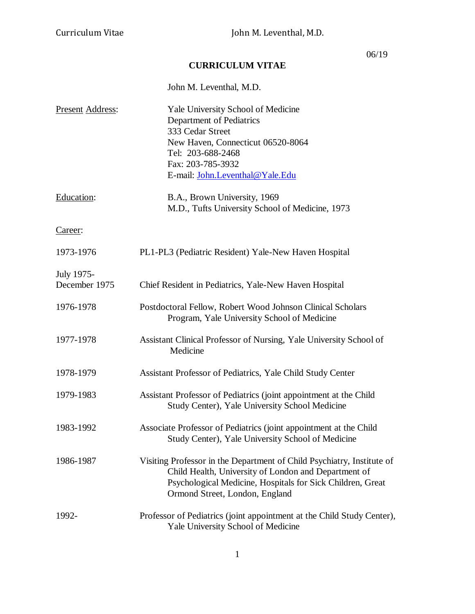06/19

# **CURRICULUM VITAE**

|                             | John M. Leventhal, M.D.                                                                                                                                                                                                        |
|-----------------------------|--------------------------------------------------------------------------------------------------------------------------------------------------------------------------------------------------------------------------------|
| <b>Present Address:</b>     | Yale University School of Medicine<br>Department of Pediatrics<br>333 Cedar Street<br>New Haven, Connecticut 06520-8064<br>Tel: 203-688-2468<br>Fax: 203-785-3932<br>E-mail: John.Leventhal@Yale.Edu                           |
| Education:                  | B.A., Brown University, 1969<br>M.D., Tufts University School of Medicine, 1973                                                                                                                                                |
| Career:                     |                                                                                                                                                                                                                                |
| 1973-1976                   | PL1-PL3 (Pediatric Resident) Yale-New Haven Hospital                                                                                                                                                                           |
| July 1975-<br>December 1975 | Chief Resident in Pediatrics, Yale-New Haven Hospital                                                                                                                                                                          |
| 1976-1978                   | Postdoctoral Fellow, Robert Wood Johnson Clinical Scholars<br>Program, Yale University School of Medicine                                                                                                                      |
| 1977-1978                   | Assistant Clinical Professor of Nursing, Yale University School of<br>Medicine                                                                                                                                                 |
| 1978-1979                   | Assistant Professor of Pediatrics, Yale Child Study Center                                                                                                                                                                     |
| 1979-1983                   | Assistant Professor of Pediatrics (joint appointment at the Child<br>Study Center), Yale University School Medicine                                                                                                            |
| 1983-1992                   | Associate Professor of Pediatrics (joint appointment at the Child<br>Study Center), Yale University School of Medicine                                                                                                         |
| 1986-1987                   | Visiting Professor in the Department of Child Psychiatry, Institute of<br>Child Health, University of London and Department of<br>Psychological Medicine, Hospitals for Sick Children, Great<br>Ormond Street, London, England |
| 1992-                       | Professor of Pediatrics (joint appointment at the Child Study Center),<br>Yale University School of Medicine                                                                                                                   |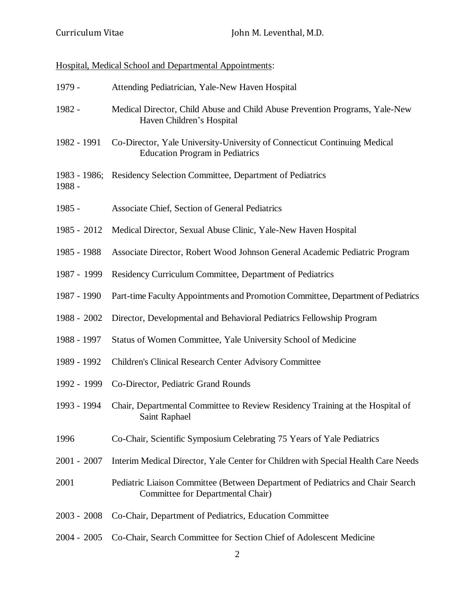# Hospital, Medical School and Departmental Appointments:

| 1979 -                 | Attending Pediatrician, Yale-New Haven Hospital                                                                     |
|------------------------|---------------------------------------------------------------------------------------------------------------------|
| 1982 -                 | Medical Director, Child Abuse and Child Abuse Prevention Programs, Yale-New<br>Haven Children's Hospital            |
| 1982 - 1991            | Co-Director, Yale University-University of Connecticut Continuing Medical<br><b>Education Program in Pediatrics</b> |
| 1983 - 1986;<br>1988 - | Residency Selection Committee, Department of Pediatrics                                                             |
| 1985 -                 | Associate Chief, Section of General Pediatrics                                                                      |
| 1985 - 2012            | Medical Director, Sexual Abuse Clinic, Yale-New Haven Hospital                                                      |
| 1985 - 1988            | Associate Director, Robert Wood Johnson General Academic Pediatric Program                                          |
| 1987 - 1999            | Residency Curriculum Committee, Department of Pediatrics                                                            |
| 1987 - 1990            | Part-time Faculty Appointments and Promotion Committee, Department of Pediatrics                                    |
| 1988 - 2002            | Director, Developmental and Behavioral Pediatrics Fellowship Program                                                |
| 1988 - 1997            | Status of Women Committee, Yale University School of Medicine                                                       |
| 1989 - 1992            | Children's Clinical Research Center Advisory Committee                                                              |
| 1992 - 1999            | Co-Director, Pediatric Grand Rounds                                                                                 |
| 1993 - 1994            | Chair, Departmental Committee to Review Residency Training at the Hospital of<br>Saint Raphael                      |
| 1996                   | Co-Chair, Scientific Symposium Celebrating 75 Years of Yale Pediatrics                                              |
| 2001 - 2007            | Interim Medical Director, Yale Center for Children with Special Health Care Needs                                   |
| 2001                   | Pediatric Liaison Committee (Between Department of Pediatrics and Chair Search<br>Committee for Departmental Chair) |
| 2003 - 2008            | Co-Chair, Department of Pediatrics, Education Committee                                                             |
|                        |                                                                                                                     |

2004 - 2005 Co-Chair, Search Committee for Section Chief of Adolescent Medicine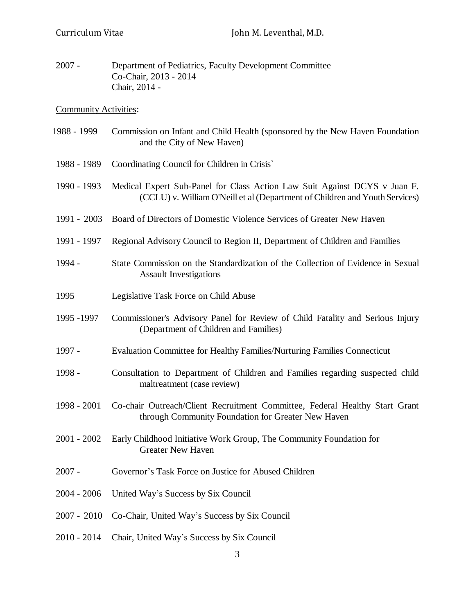2007 - Department of Pediatrics, Faculty Development Committee Co-Chair, 2013 - 2014 Chair, 2014 -

Community Activities:

| 1988 - 1999 | Commission on Infant and Child Health (sponsored by the New Haven Foundation |
|-------------|------------------------------------------------------------------------------|
|             | and the City of New Haven)                                                   |

- 1988 1989 Coordinating Council for Children in Crisis`
- 1990 1993 Medical Expert Sub-Panel for Class Action Law Suit Against DCYS v Juan F. (CCLU) v. William O'Neill et al (Department of Children and Youth Services)
- 1991 2003 Board of Directors of Domestic Violence Services of Greater New Haven
- 1991 1997 Regional Advisory Council to Region II, Department of Children and Families
- 1994 State Commission on the Standardization of the Collection of Evidence in Sexual Assault Investigations
- 1995 Legislative Task Force on Child Abuse
- 1995 -1997 Commissioner's Advisory Panel for Review of Child Fatality and Serious Injury (Department of Children and Families)
- 1997 Evaluation Committee for Healthy Families/Nurturing Families Connecticut
- 1998 Consultation to Department of Children and Families regarding suspected child maltreatment (case review)
- 1998 2001 Co-chair Outreach/Client Recruitment Committee, Federal Healthy Start Grant through Community Foundation for Greater New Haven
- 2001 2002 Early Childhood Initiative Work Group, The Community Foundation for Greater New Haven
- 2007 Governor's Task Force on Justice for Abused Children
- 2004 2006 United Way's Success by Six Council
- 2007 2010 Co-Chair, United Way's Success by Six Council
- 2010 2014 Chair, United Way's Success by Six Council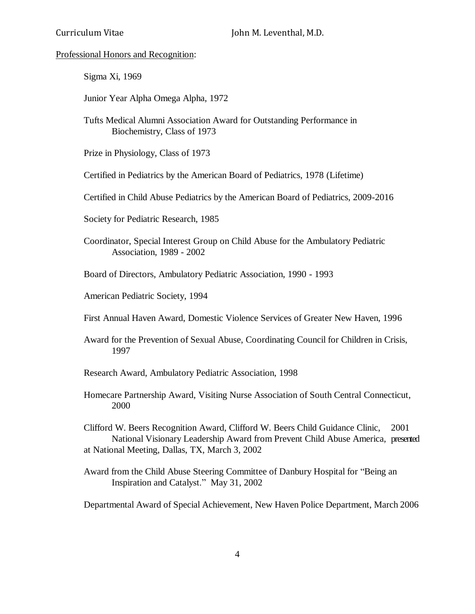#### Professional Honors and Recognition:

- Sigma Xi, 1969
- Junior Year Alpha Omega Alpha, 1972
- Tufts Medical Alumni Association Award for Outstanding Performance in Biochemistry, Class of 1973
- Prize in Physiology, Class of 1973
- Certified in Pediatrics by the American Board of Pediatrics, 1978 (Lifetime)
- Certified in Child Abuse Pediatrics by the American Board of Pediatrics, 2009-2016
- Society for Pediatric Research, 1985
- Coordinator, Special Interest Group on Child Abuse for the Ambulatory Pediatric Association, 1989 - 2002
- Board of Directors, Ambulatory Pediatric Association, 1990 1993
- American Pediatric Society, 1994
- First Annual Haven Award, Domestic Violence Services of Greater New Haven, 1996
- Award for the Prevention of Sexual Abuse, Coordinating Council for Children in Crisis, 1997
- Research Award, Ambulatory Pediatric Association, 1998
- Homecare Partnership Award, Visiting Nurse Association of South Central Connecticut, 2000

Clifford W. Beers Recognition Award, Clifford W. Beers Child Guidance Clinic, 2001 National Visionary Leadership Award from Prevent Child Abuse America, presented at National Meeting, Dallas, TX, March 3, 2002

Award from the Child Abuse Steering Committee of Danbury Hospital for "Being an Inspiration and Catalyst." May 31, 2002

Departmental Award of Special Achievement, New Haven Police Department, March 2006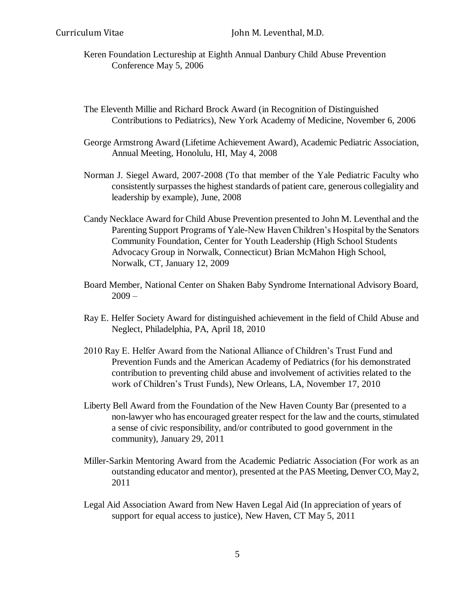- Keren Foundation Lectureship at Eighth Annual Danbury Child Abuse Prevention Conference May 5, 2006
- The Eleventh Millie and Richard Brock Award (in Recognition of Distinguished Contributions to Pediatrics), New York Academy of Medicine, November 6, 2006
- George Armstrong Award (Lifetime Achievement Award), Academic Pediatric Association, Annual Meeting, Honolulu, HI, May 4, 2008
- Norman J. Siegel Award, 2007-2008 (To that member of the Yale Pediatric Faculty who consistently surpasses the highest standards of patient care, generous collegiality and leadership by example), June, 2008
- Candy Necklace Award for Child Abuse Prevention presented to John M. Leventhal and the Parenting Support Programs of Yale-New Haven Children's Hospital by the Senators Community Foundation, Center for Youth Leadership (High School Students Advocacy Group in Norwalk, Connecticut) Brian McMahon High School, Norwalk, CT, January 12, 2009
- Board Member, National Center on Shaken Baby Syndrome International Advisory Board,  $2009 -$
- Ray E. Helfer Society Award for distinguished achievement in the field of Child Abuse and Neglect, Philadelphia, PA, April 18, 2010
- 2010 Ray E. Helfer Award from the National Alliance of Children's Trust Fund and Prevention Funds and the American Academy of Pediatrics (for his demonstrated contribution to preventing child abuse and involvement of activities related to the work of Children's Trust Funds), New Orleans, LA, November 17, 2010
- Liberty Bell Award from the Foundation of the New Haven County Bar (presented to a non-lawyer who has encouraged greater respect for the law and the courts, stimulated a sense of civic responsibility, and/or contributed to good government in the community), January 29, 2011
- Miller-Sarkin Mentoring Award from the Academic Pediatric Association (For work as an outstanding educator and mentor), presented at the PAS Meeting, Denver CO, May 2, 2011
- Legal Aid Association Award from New Haven Legal Aid (In appreciation of years of support for equal access to justice), New Haven, CT May 5, 2011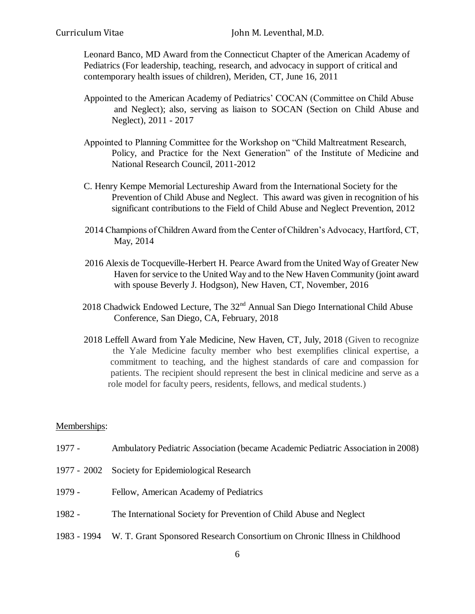Leonard Banco, MD Award from the Connecticut Chapter of the American Academy of Pediatrics (For leadership, teaching, research, and advocacy in support of critical and contemporary health issues of children), Meriden, CT, June 16, 2011

- Appointed to the American Academy of Pediatrics' COCAN (Committee on Child Abuse and Neglect); also, serving as liaison to SOCAN (Section on Child Abuse and Neglect), 2011 - 2017
- Appointed to Planning Committee for the Workshop on "Child Maltreatment Research, Policy, and Practice for the Next Generation" of the Institute of Medicine and National Research Council, 2011-2012
- C. Henry Kempe Memorial Lectureship Award from the International Society for the Prevention of Child Abuse and Neglect. This award was given in recognition of his significant contributions to the Field of Child Abuse and Neglect Prevention, 2012
- 2014 Champions of Children Award from the Center of Children's Advocacy, Hartford, CT, May, 2014
- 2016 Alexis de Tocqueville-Herbert H. Pearce Award from the United Way of Greater New Haven for service to the United Way and to the New Haven Community (joint award with spouse Beverly J. Hodgson), New Haven, CT, November, 2016
- 2018 Chadwick Endowed Lecture, The  $32<sup>nd</sup>$  Annual San Diego International Child Abuse Conference, San Diego, CA, February, 2018
- 2018 Leffell Award from Yale Medicine, New Haven, CT, July, 2018 (Given to recognize the Yale Medicine faculty member who best exemplifies clinical expertise, a commitment to teaching, and the highest standards of care and compassion for patients. The recipient should represent the best in clinical medicine and serve as a role model for faculty peers, residents, fellows, and medical students.)

#### Memberships:

- 1977 Ambulatory Pediatric Association (became Academic Pediatric Association in 2008)
- 1977 2002 Society for Epidemiological Research
- 1979 Fellow, American Academy of Pediatrics
- 1982 The International Society for Prevention of Child Abuse and Neglect
- 1983 1994 W. T. Grant Sponsored Research Consortium on Chronic Illness in Childhood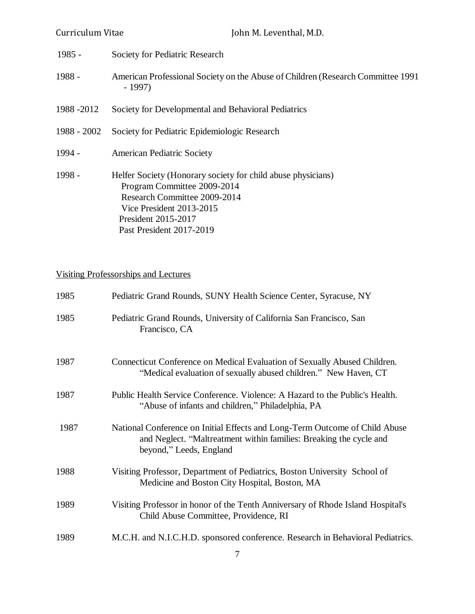| Curriculum Vitae | John M. Leventhal, M.D.                                                                                                                                                                                    |
|------------------|------------------------------------------------------------------------------------------------------------------------------------------------------------------------------------------------------------|
| $1985 -$         | Society for Pediatric Research                                                                                                                                                                             |
| $1988 -$         | American Professional Society on the Abuse of Children (Research Committee 1991)<br>- 1997)                                                                                                                |
| 1988 - 2012      | Society for Developmental and Behavioral Pediatrics                                                                                                                                                        |
| 1988 - 2002      | Society for Pediatric Epidemiologic Research                                                                                                                                                               |
| 1994 -           | <b>American Pediatric Society</b>                                                                                                                                                                          |
| 1998 -           | Helfer Society (Honorary society for child abuse physicians)<br>Program Committee 2009-2014<br>Research Committee 2009-2014<br>Vice President 2013-2015<br>President 2015-2017<br>Past President 2017-2019 |

Visiting Professorships and Lectures

| 1985 | Pediatric Grand Rounds, SUNY Health Science Center, Syracuse, NY                                                                                                             |
|------|------------------------------------------------------------------------------------------------------------------------------------------------------------------------------|
| 1985 | Pediatric Grand Rounds, University of California San Francisco, San<br>Francisco, CA                                                                                         |
| 1987 | Connecticut Conference on Medical Evaluation of Sexually Abused Children.<br>"Medical evaluation of sexually abused children." New Haven, CT                                 |
| 1987 | Public Health Service Conference. Violence: A Hazard to the Public's Health.<br>"Abuse of infants and children," Philadelphia, PA                                            |
| 1987 | National Conference on Initial Effects and Long-Term Outcome of Child Abuse<br>and Neglect. "Maltreatment within families: Breaking the cycle and<br>beyond," Leeds, England |
| 1988 | Visiting Professor, Department of Pediatrics, Boston University School of<br>Medicine and Boston City Hospital, Boston, MA                                                   |
| 1989 | Visiting Professor in honor of the Tenth Anniversary of Rhode Island Hospital's<br>Child Abuse Committee, Providence, RI                                                     |
| 1989 | M.C.H. and N.I.C.H.D. sponsored conference. Research in Behavioral Pediatrics.                                                                                               |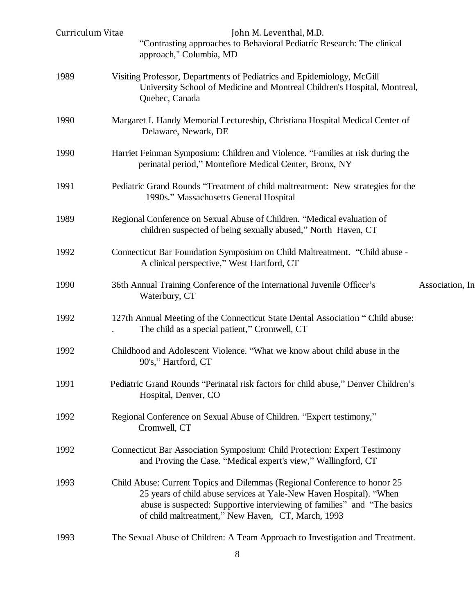| Curriculum Vitae | John M. Leventhal, M.D.<br>"Contrasting approaches to Behavioral Pediatric Research: The clinical<br>approach," Columbia, MD                                                                                                                                                        |                 |
|------------------|-------------------------------------------------------------------------------------------------------------------------------------------------------------------------------------------------------------------------------------------------------------------------------------|-----------------|
| 1989             | Visiting Professor, Departments of Pediatrics and Epidemiology, McGill<br>University School of Medicine and Montreal Children's Hospital, Montreal,<br>Quebec, Canada                                                                                                               |                 |
| 1990             | Margaret I. Handy Memorial Lectureship, Christiana Hospital Medical Center of<br>Delaware, Newark, DE                                                                                                                                                                               |                 |
| 1990             | Harriet Feinman Symposium: Children and Violence. "Families at risk during the<br>perinatal period," Montefiore Medical Center, Bronx, NY                                                                                                                                           |                 |
| 1991             | Pediatric Grand Rounds "Treatment of child maltreatment: New strategies for the<br>1990s." Massachusetts General Hospital                                                                                                                                                           |                 |
| 1989             | Regional Conference on Sexual Abuse of Children. "Medical evaluation of<br>children suspected of being sexually abused," North Haven, CT                                                                                                                                            |                 |
| 1992             | Connecticut Bar Foundation Symposium on Child Maltreatment. "Child abuse -<br>A clinical perspective," West Hartford, CT                                                                                                                                                            |                 |
| 1990             | 36th Annual Training Conference of the International Juvenile Officer's<br>Waterbury, CT                                                                                                                                                                                            | Association, In |
| 1992             | 127th Annual Meeting of the Connecticut State Dental Association "Child abuse:<br>The child as a special patient," Cromwell, CT                                                                                                                                                     |                 |
| 1992             | Childhood and Adolescent Violence. "What we know about child abuse in the<br>90's," Hartford, CT                                                                                                                                                                                    |                 |
| 1991             | Pediatric Grand Rounds "Perinatal risk factors for child abuse," Denver Children's<br>Hospital, Denver, CO                                                                                                                                                                          |                 |
| 1992             | Regional Conference on Sexual Abuse of Children. "Expert testimony,"<br>Cromwell, CT                                                                                                                                                                                                |                 |
| 1992             | Connecticut Bar Association Symposium: Child Protection: Expert Testimony<br>and Proving the Case. "Medical expert's view," Wallingford, CT                                                                                                                                         |                 |
| 1993             | Child Abuse: Current Topics and Dilemmas (Regional Conference to honor 25<br>25 years of child abuse services at Yale-New Haven Hospital). "When<br>abuse is suspected: Supportive interviewing of families" and "The basics"<br>of child maltreatment," New Haven, CT, March, 1993 |                 |
| 1993             | The Sexual Abuse of Children: A Team Approach to Investigation and Treatment.                                                                                                                                                                                                       |                 |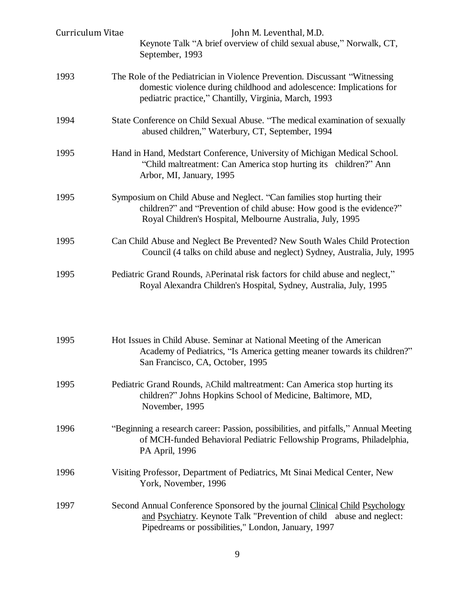| Curriculum Vitae | John M. Leventhal, M.D.<br>Keynote Talk "A brief overview of child sexual abuse," Norwalk, CT,<br>September, 1993                                                                                             |
|------------------|---------------------------------------------------------------------------------------------------------------------------------------------------------------------------------------------------------------|
| 1993             | The Role of the Pediatrician in Violence Prevention. Discussant "Witnessing"<br>domestic violence during childhood and adolescence: Implications for<br>pediatric practice," Chantilly, Virginia, March, 1993 |
| 1994             | State Conference on Child Sexual Abuse. "The medical examination of sexually<br>abused children," Waterbury, CT, September, 1994                                                                              |
| 1995             | Hand in Hand, Medstart Conference, University of Michigan Medical School.<br>"Child maltreatment: Can America stop hurting its children?" Ann<br>Arbor, MI, January, 1995                                     |
| 1995             | Symposium on Child Abuse and Neglect. "Can families stop hurting their<br>children?" and "Prevention of child abuse: How good is the evidence?"<br>Royal Children's Hospital, Melbourne Australia, July, 1995 |
| 1995             | Can Child Abuse and Neglect Be Prevented? New South Wales Child Protection<br>Council (4 talks on child abuse and neglect) Sydney, Australia, July, 1995                                                      |
| 1995             | Pediatric Grand Rounds, APerinatal risk factors for child abuse and neglect,"<br>Royal Alexandra Children's Hospital, Sydney, Australia, July, 1995                                                           |
| 1995             | Hot Issues in Child Abuse. Seminar at National Meeting of the American<br>Academy of Pediatrics, "Is America getting meaner towards its children?"<br>San Francisco, CA, October, 1995                        |
| 1995             | Pediatric Grand Rounds, AChild maltreatment: Can America stop hurting its<br>children?" Johns Hopkins School of Medicine, Baltimore, MD,<br>November, 1995                                                    |
| 1996             | "Beginning a research career: Passion, possibilities, and pitfalls," Annual Meeting<br>of MCH-funded Behavioral Pediatric Fellowship Programs, Philadelphia,<br>PA April, 1996                                |
| 1996             | Visiting Professor, Department of Pediatrics, Mt Sinai Medical Center, New<br>York, November, 1996                                                                                                            |
| 1997             | Second Annual Conference Sponsored by the journal Clinical Child Psychology<br>and Psychiatry. Keynote Talk "Prevention of child abuse and neglect:<br>Pipedreams or possibilities," London, January, 1997    |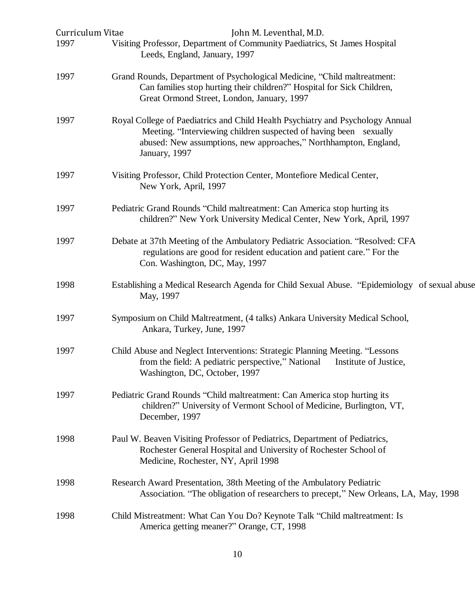| Curriculum Vitae<br>1997 | John M. Leventhal, M.D.<br>Visiting Professor, Department of Community Paediatrics, St James Hospital                                                                                                                                    |
|--------------------------|------------------------------------------------------------------------------------------------------------------------------------------------------------------------------------------------------------------------------------------|
|                          | Leeds, England, January, 1997                                                                                                                                                                                                            |
| 1997                     | Grand Rounds, Department of Psychological Medicine, "Child maltreatment:<br>Can families stop hurting their children?" Hospital for Sick Children,<br>Great Ormond Street, London, January, 1997                                         |
| 1997                     | Royal College of Paediatrics and Child Health Psychiatry and Psychology Annual<br>Meeting. "Interviewing children suspected of having been sexually<br>abused: New assumptions, new approaches," Northhampton, England,<br>January, 1997 |
| 1997                     | Visiting Professor, Child Protection Center, Montefiore Medical Center,<br>New York, April, 1997                                                                                                                                         |
| 1997                     | Pediatric Grand Rounds "Child maltreatment: Can America stop hurting its<br>children?" New York University Medical Center, New York, April, 1997                                                                                         |
| 1997                     | Debate at 37th Meeting of the Ambulatory Pediatric Association. "Resolved: CFA<br>regulations are good for resident education and patient care." For the<br>Con. Washington, DC, May, 1997                                               |
| 1998                     | Establishing a Medical Research Agenda for Child Sexual Abuse. "Epidemiology of sexual abuse<br>May, 1997                                                                                                                                |
| 1997                     | Symposium on Child Maltreatment, (4 talks) Ankara University Medical School,<br>Ankara, Turkey, June, 1997                                                                                                                               |
| 1997                     | Child Abuse and Neglect Interventions: Strategic Planning Meeting. "Lessons<br>from the field: A pediatric perspective," National<br>Institute of Justice,<br>Washington, DC, October, 1997                                              |
| 1997                     | Pediatric Grand Rounds "Child maltreatment: Can America stop hurting its<br>children?" University of Vermont School of Medicine, Burlington, VT,<br>December, 1997                                                                       |
| 1998                     | Paul W. Beaven Visiting Professor of Pediatrics, Department of Pediatrics,<br>Rochester General Hospital and University of Rochester School of<br>Medicine, Rochester, NY, April 1998                                                    |
| 1998                     | Research Award Presentation, 38th Meeting of the Ambulatory Pediatric<br>Association. "The obligation of researchers to precept," New Orleans, LA, May, 1998                                                                             |
| 1998                     | Child Mistreatment: What Can You Do? Keynote Talk "Child maltreatment: Is<br>America getting meaner?" Orange, CT, 1998                                                                                                                   |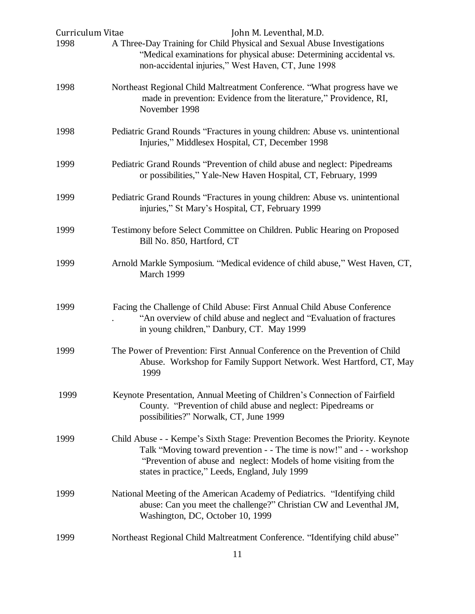| Curriculum Vitae | John M. Leventhal, M.D.                                                                                                                                                                                                                                                        |
|------------------|--------------------------------------------------------------------------------------------------------------------------------------------------------------------------------------------------------------------------------------------------------------------------------|
| 1998             | A Three-Day Training for Child Physical and Sexual Abuse Investigations<br>"Medical examinations for physical abuse: Determining accidental vs.<br>non-accidental injuries," West Haven, CT, June 1998                                                                         |
| 1998             | Northeast Regional Child Maltreatment Conference. "What progress have we<br>made in prevention: Evidence from the literature," Providence, RI,<br>November 1998                                                                                                                |
| 1998             | Pediatric Grand Rounds "Fractures in young children: Abuse vs. unintentional<br>Injuries," Middlesex Hospital, CT, December 1998                                                                                                                                               |
| 1999             | Pediatric Grand Rounds "Prevention of child abuse and neglect: Pipedreams<br>or possibilities," Yale-New Haven Hospital, CT, February, 1999                                                                                                                                    |
| 1999             | Pediatric Grand Rounds "Fractures in young children: Abuse vs. unintentional<br>injuries," St Mary's Hospital, CT, February 1999                                                                                                                                               |
| 1999             | Testimony before Select Committee on Children. Public Hearing on Proposed<br>Bill No. 850, Hartford, CT                                                                                                                                                                        |
| 1999             | Arnold Markle Symposium. "Medical evidence of child abuse," West Haven, CT,<br>March 1999                                                                                                                                                                                      |
| 1999             | Facing the Challenge of Child Abuse: First Annual Child Abuse Conference<br>"An overview of child abuse and neglect and "Evaluation of fractures"<br>in young children," Danbury, CT. May 1999                                                                                 |
| 1999             | The Power of Prevention: First Annual Conference on the Prevention of Child<br>Abuse. Workshop for Family Support Network. West Hartford, CT, May<br>1999                                                                                                                      |
| 1999             | Keynote Presentation, Annual Meeting of Children's Connection of Fairfield<br>County. "Prevention of child abuse and neglect: Pipedreams or<br>possibilities?" Norwalk, CT, June 1999                                                                                          |
| 1999             | Child Abuse - - Kempe's Sixth Stage: Prevention Becomes the Priority. Keynote<br>Talk "Moving toward prevention - - The time is now!" and - - workshop<br>"Prevention of abuse and neglect: Models of home visiting from the<br>states in practice," Leeds, England, July 1999 |
| 1999             | National Meeting of the American Academy of Pediatrics. "Identifying child<br>abuse: Can you meet the challenge?" Christian CW and Leventhal JM,<br>Washington, DC, October 10, 1999                                                                                           |
| 1999             | Northeast Regional Child Maltreatment Conference. "Identifying child abuse"                                                                                                                                                                                                    |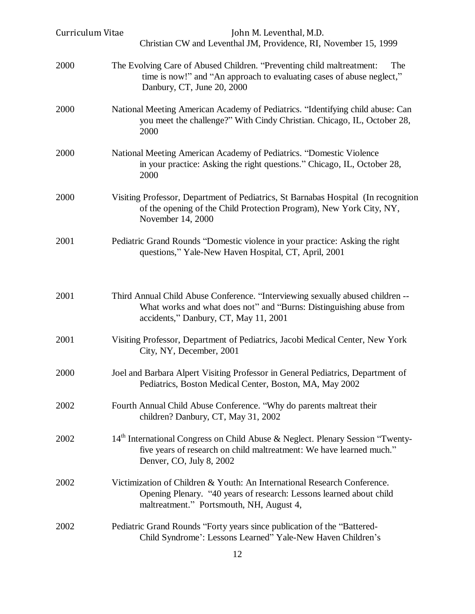| Curriculum Vitae | John M. Leventhal, M.D.<br>Christian CW and Leventhal JM, Providence, RI, November 15, 1999                                                                                                    |
|------------------|------------------------------------------------------------------------------------------------------------------------------------------------------------------------------------------------|
| 2000             | The Evolving Care of Abused Children. "Preventing child maltreatment:<br>The<br>time is now!" and "An approach to evaluating cases of abuse neglect,"<br>Danbury, CT, June 20, 2000            |
| 2000             | National Meeting American Academy of Pediatrics. "Identifying child abuse: Can<br>you meet the challenge?" With Cindy Christian. Chicago, IL, October 28,<br>2000                              |
| 2000             | National Meeting American Academy of Pediatrics. "Domestic Violence<br>in your practice: Asking the right questions." Chicago, IL, October 28,<br>2000                                         |
| 2000             | Visiting Professor, Department of Pediatrics, St Barnabas Hospital (In recognition<br>of the opening of the Child Protection Program), New York City, NY,<br>November 14, 2000                 |
| 2001             | Pediatric Grand Rounds "Domestic violence in your practice: Asking the right<br>questions," Yale-New Haven Hospital, CT, April, 2001                                                           |
| 2001             | Third Annual Child Abuse Conference. "Interviewing sexually abused children --<br>What works and what does not" and "Burns: Distinguishing abuse from<br>accidents," Danbury, CT, May 11, 2001 |
| 2001             | Visiting Professor, Department of Pediatrics, Jacobi Medical Center, New York<br>City, NY, December, 2001                                                                                      |
| 2000             | Joel and Barbara Alpert Visiting Professor in General Pediatrics, Department of<br>Pediatrics, Boston Medical Center, Boston, MA, May 2002                                                     |
| 2002             | Fourth Annual Child Abuse Conference. "Why do parents maltreat their<br>children? Danbury, CT, May 31, 2002                                                                                    |
| 2002             | 14 <sup>th</sup> International Congress on Child Abuse & Neglect. Plenary Session "Twenty-<br>five years of research on child maltreatment: We have learned much."<br>Denver, CO, July 8, 2002 |
| 2002             | Victimization of Children & Youth: An International Research Conference.<br>Opening Plenary. "40 years of research: Lessons learned about child<br>maltreatment." Portsmouth, NH, August 4,    |
| 2002             | Pediatric Grand Rounds "Forty years since publication of the "Battered-<br>Child Syndrome': Lessons Learned" Yale-New Haven Children's                                                         |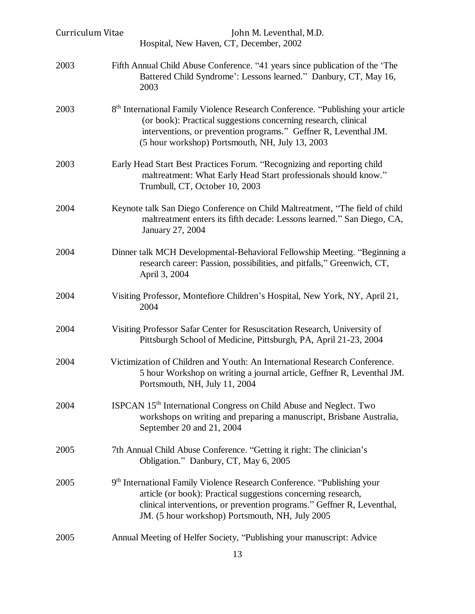| Curriculum Vitae | John M. Leventhal, M.D.<br>Hospital, New Haven, CT, December, 2002                                                                                                                                                                                                                   |
|------------------|--------------------------------------------------------------------------------------------------------------------------------------------------------------------------------------------------------------------------------------------------------------------------------------|
| 2003             | Fifth Annual Child Abuse Conference. "41 years since publication of the 'The<br>Battered Child Syndrome': Lessons learned." Danbury, CT, May 16,<br>2003                                                                                                                             |
| 2003             | 8 <sup>th</sup> International Family Violence Research Conference. "Publishing your article<br>(or book): Practical suggestions concerning research, clinical<br>interventions, or prevention programs." Geffner R, Leventhal JM.<br>(5 hour workshop) Portsmouth, NH, July 13, 2003 |
| 2003             | Early Head Start Best Practices Forum. "Recognizing and reporting child<br>maltreatment: What Early Head Start professionals should know."<br>Trumbull, CT, October 10, 2003                                                                                                         |
| 2004             | Keynote talk San Diego Conference on Child Maltreatment, "The field of child<br>maltreatment enters its fifth decade: Lessons learned." San Diego, CA,<br>January 27, 2004                                                                                                           |
| 2004             | Dinner talk MCH Developmental-Behavioral Fellowship Meeting. "Beginning a<br>research career: Passion, possibilities, and pitfalls," Greenwich, CT,<br>April 3, 2004                                                                                                                 |
| 2004             | Visiting Professor, Montefiore Children's Hospital, New York, NY, April 21,<br>2004                                                                                                                                                                                                  |
| 2004             | Visiting Professor Safar Center for Resuscitation Research, University of<br>Pittsburgh School of Medicine, Pittsburgh, PA, April 21-23, 2004                                                                                                                                        |
| 2004             | Victimization of Children and Youth: An International Research Conference.<br>5 hour Workshop on writing a journal article, Geffner R, Leventhal JM.<br>Portsmouth, NH, July 11, 2004                                                                                                |
| 2004             | ISPCAN 15 <sup>th</sup> International Congress on Child Abuse and Neglect. Two<br>workshops on writing and preparing a manuscript, Brisbane Australia,<br>September 20 and 21, 2004                                                                                                  |
| 2005             | 7th Annual Child Abuse Conference. "Getting it right: The clinician's<br>Obligation." Danbury, CT, May 6, 2005                                                                                                                                                                       |
| 2005             | 9 <sup>th</sup> International Family Violence Research Conference. "Publishing your<br>article (or book): Practical suggestions concerning research,<br>clinical interventions, or prevention programs." Geffner R, Leventhal,<br>JM. (5 hour workshop) Portsmouth, NH, July 2005    |
| 2005             | Annual Meeting of Helfer Society, "Publishing your manuscript: Advice                                                                                                                                                                                                                |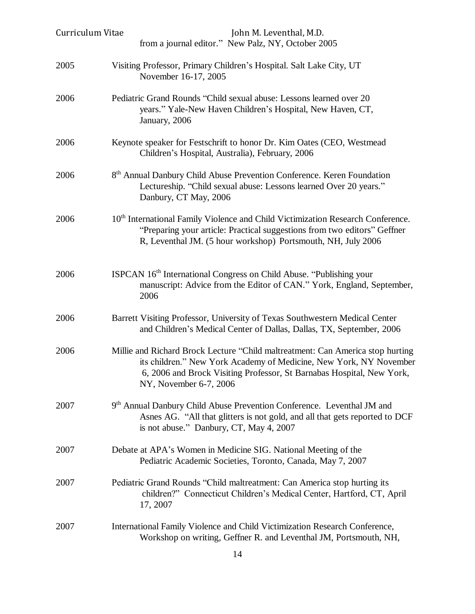| Curriculum Vitae | John M. Leventhal, M.D.<br>from a journal editor." New Palz, NY, October 2005                                                                                                                                                                           |
|------------------|---------------------------------------------------------------------------------------------------------------------------------------------------------------------------------------------------------------------------------------------------------|
| 2005             | Visiting Professor, Primary Children's Hospital. Salt Lake City, UT<br>November 16-17, 2005                                                                                                                                                             |
| 2006             | Pediatric Grand Rounds "Child sexual abuse: Lessons learned over 20<br>years." Yale-New Haven Children's Hospital, New Haven, CT,<br>January, 2006                                                                                                      |
| 2006             | Keynote speaker for Festschrift to honor Dr. Kim Oates (CEO, Westmead<br>Children's Hospital, Australia), February, 2006                                                                                                                                |
| 2006             | 8 <sup>th</sup> Annual Danbury Child Abuse Prevention Conference. Keren Foundation<br>Lectureship. "Child sexual abuse: Lessons learned Over 20 years."<br>Danbury, CT May, 2006                                                                        |
| 2006             | 10 <sup>th</sup> International Family Violence and Child Victimization Research Conference.<br>"Preparing your article: Practical suggestions from two editors" Geffner<br>R, Leventhal JM. (5 hour workshop) Portsmouth, NH, July 2006                 |
| 2006             | ISPCAN 16 <sup>th</sup> International Congress on Child Abuse. "Publishing your<br>manuscript: Advice from the Editor of CAN." York, England, September,<br>2006                                                                                        |
| 2006             | Barrett Visiting Professor, University of Texas Southwestern Medical Center<br>and Children's Medical Center of Dallas, Dallas, TX, September, 2006                                                                                                     |
| 2006             | Millie and Richard Brock Lecture "Child maltreatment: Can America stop hurting<br>its children." New York Academy of Medicine, New York, NY November<br>6, 2006 and Brock Visiting Professor, St Barnabas Hospital, New York,<br>NY, November 6-7, 2006 |
| 2007             | 9 <sup>th</sup> Annual Danbury Child Abuse Prevention Conference. Leventhal JM and<br>Asnes AG. "All that glitters is not gold, and all that gets reported to DCF<br>is not abuse." Danbury, CT, May 4, 2007                                            |
| 2007             | Debate at APA's Women in Medicine SIG. National Meeting of the<br>Pediatric Academic Societies, Toronto, Canada, May 7, 2007                                                                                                                            |
| 2007             | Pediatric Grand Rounds "Child maltreatment: Can America stop hurting its<br>children?" Connecticut Children's Medical Center, Hartford, CT, April<br>17, 2007                                                                                           |
| 2007             | International Family Violence and Child Victimization Research Conference,<br>Workshop on writing, Geffner R. and Leventhal JM, Portsmouth, NH,                                                                                                         |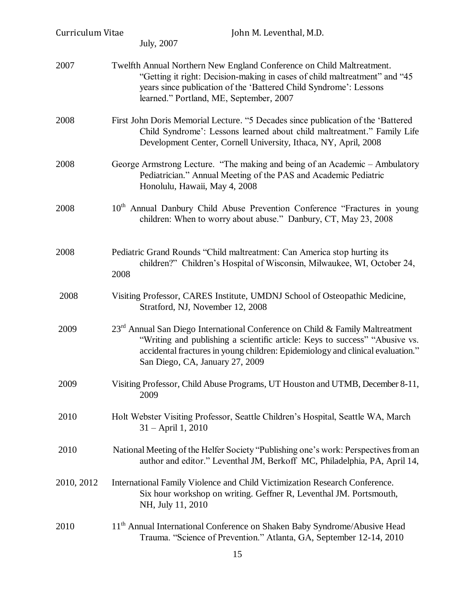| Curriculum Vitae | John M. Leventhal, M.D.<br>July, 2007                                                                                                                                                                                                                                                         |
|------------------|-----------------------------------------------------------------------------------------------------------------------------------------------------------------------------------------------------------------------------------------------------------------------------------------------|
| 2007             | Twelfth Annual Northern New England Conference on Child Maltreatment.<br>"Getting it right: Decision-making in cases of child maltreatment" and "45<br>years since publication of the 'Battered Child Syndrome': Lessons<br>learned." Portland, ME, September, 2007                           |
| 2008             | First John Doris Memorial Lecture. "5 Decades since publication of the 'Battered<br>Child Syndrome': Lessons learned about child maltreatment." Family Life<br>Development Center, Cornell University, Ithaca, NY, April, 2008                                                                |
| 2008             | George Armstrong Lecture. "The making and being of an Academic – Ambulatory<br>Pediatrician." Annual Meeting of the PAS and Academic Pediatric<br>Honolulu, Hawaii, May 4, 2008                                                                                                               |
| 2008             | 10 <sup>th</sup> Annual Danbury Child Abuse Prevention Conference "Fractures in young<br>children: When to worry about abuse." Danbury, CT, May 23, 2008                                                                                                                                      |
| 2008             | Pediatric Grand Rounds "Child maltreatment: Can America stop hurting its<br>children?" Children's Hospital of Wisconsin, Milwaukee, WI, October 24,<br>2008                                                                                                                                   |
| 2008             | Visiting Professor, CARES Institute, UMDNJ School of Osteopathic Medicine,<br>Stratford, NJ, November 12, 2008                                                                                                                                                                                |
| 2009             | 23 <sup>rd</sup> Annual San Diego International Conference on Child & Family Maltreatment<br>"Writing and publishing a scientific article: Keys to success" "Abusive vs.<br>accidental fractures in young children: Epidemiology and clinical evaluation."<br>San Diego, CA, January 27, 2009 |
| 2009             | Visiting Professor, Child Abuse Programs, UT Houston and UTMB, December 8-11,<br>2009                                                                                                                                                                                                         |
| 2010             | Holt Webster Visiting Professor, Seattle Children's Hospital, Seattle WA, March<br>31 - April 1, 2010                                                                                                                                                                                         |
| 2010             | National Meeting of the Helfer Society "Publishing one's work: Perspectives from an<br>author and editor." Leventhal JM, Berkoff MC, Philadelphia, PA, April 14,                                                                                                                              |
| 2010, 2012       | International Family Violence and Child Victimization Research Conference.<br>Six hour workshop on writing. Geffner R, Leventhal JM. Portsmouth,<br>NH, July 11, 2010                                                                                                                         |
| 2010             | 11 <sup>th</sup> Annual International Conference on Shaken Baby Syndrome/Abusive Head<br>Trauma. "Science of Prevention." Atlanta, GA, September 12-14, 2010                                                                                                                                  |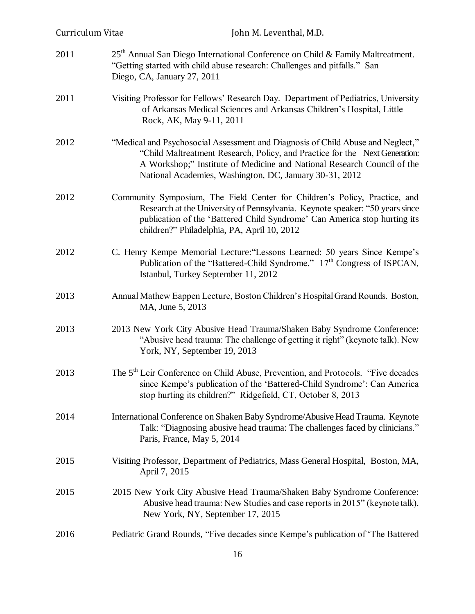| Curriculum Vitae | John M. Leventhal, M.D.                                                                                                                                                                                                                                                                              |
|------------------|------------------------------------------------------------------------------------------------------------------------------------------------------------------------------------------------------------------------------------------------------------------------------------------------------|
| 2011             | $25th$ Annual San Diego International Conference on Child & Family Maltreatment.<br>"Getting started with child abuse research: Challenges and pitfalls." San<br>Diego, CA, January 27, 2011                                                                                                         |
| 2011             | Visiting Professor for Fellows' Research Day. Department of Pediatrics, University<br>of Arkansas Medical Sciences and Arkansas Children's Hospital, Little<br>Rock, AK, May 9-11, 2011                                                                                                              |
| 2012             | "Medical and Psychosocial Assessment and Diagnosis of Child Abuse and Neglect,"<br>"Child Maltreatment Research, Policy, and Practice for the Next Generation:<br>A Workshop;" Institute of Medicine and National Research Council of the<br>National Academies, Washington, DC, January 30-31, 2012 |
| 2012             | Community Symposium, The Field Center for Children's Policy, Practice, and<br>Research at the University of Pennsylvania. Keynote speaker: "50 years since<br>publication of the 'Battered Child Syndrome' Can America stop hurting its<br>children?" Philadelphia, PA, April 10, 2012               |
| 2012             | C. Henry Kempe Memorial Lecture: "Lessons Learned: 50 years Since Kempe's<br>Publication of the "Battered-Child Syndrome." 17th Congress of ISPCAN,<br>Istanbul, Turkey September 11, 2012                                                                                                           |
| 2013             | Annual Mathew Eappen Lecture, Boston Children's Hospital Grand Rounds. Boston,<br>MA, June 5, 2013                                                                                                                                                                                                   |
| 2013             | 2013 New York City Abusive Head Trauma/Shaken Baby Syndrome Conference:<br>"Abusive head trauma: The challenge of getting it right" (keynote talk). New<br>York, NY, September 19, 2013                                                                                                              |
| 2013             | The 5 <sup>th</sup> Leir Conference on Child Abuse, Prevention, and Protocols. "Five decades"<br>since Kempe's publication of the 'Battered-Child Syndrome': Can America<br>stop hurting its children?" Ridgefield, CT, October 8, 2013                                                              |
| 2014             | International Conference on Shaken Baby Syndrome/Abusive Head Trauma. Keynote<br>Talk: "Diagnosing abusive head trauma: The challenges faced by clinicians."<br>Paris, France, May 5, 2014                                                                                                           |
| 2015             | Visiting Professor, Department of Pediatrics, Mass General Hospital, Boston, MA,<br>April 7, 2015                                                                                                                                                                                                    |
| 2015             | 2015 New York City Abusive Head Trauma/Shaken Baby Syndrome Conference:<br>Abusive head trauma: New Studies and case reports in 2015" (keynote talk).<br>New York, NY, September 17, 2015                                                                                                            |
| 2016             | Pediatric Grand Rounds, "Five decades since Kempe's publication of 'The Battered                                                                                                                                                                                                                     |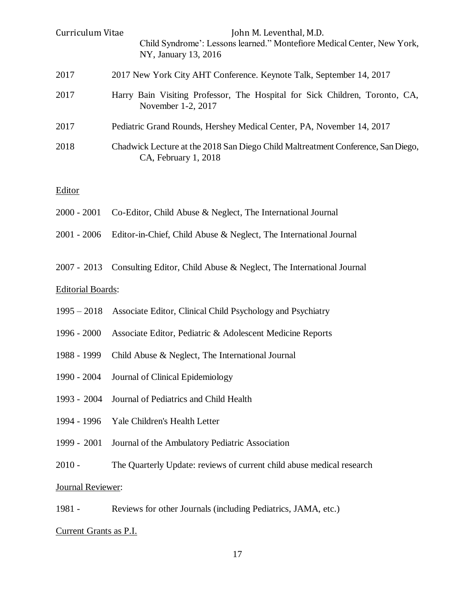| Curriculum Vitae | John M. Leventhal, M.D.<br>Child Syndrome': Lessons learned." Montefiore Medical Center, New York,<br>NY, January 13, 2016 |
|------------------|----------------------------------------------------------------------------------------------------------------------------|
| 2017             | 2017 New York City AHT Conference. Keynote Talk, September 14, 2017                                                        |
| 2017             | Harry Bain Visiting Professor, The Hospital for Sick Children, Toronto, CA,<br>November 1-2, 2017                          |
| 2017             | Pediatric Grand Rounds, Hershey Medical Center, PA, November 14, 2017                                                      |
| 2018             | Chadwick Lecture at the 2018 San Diego Child Maltreatment Conference, San Diego,<br>CA, February 1, 2018                   |
|                  |                                                                                                                            |

#### **Editor**

|                          | 2000 - 2001 Co-Editor, Child Abuse & Neglect, The International Journal         |
|--------------------------|---------------------------------------------------------------------------------|
|                          | 2001 - 2006 Editor-in-Chief, Child Abuse & Neglect, The International Journal   |
|                          | 2007 - 2013 Consulting Editor, Child Abuse & Neglect, The International Journal |
| <b>Editorial Boards:</b> |                                                                                 |
|                          | 1995 – 2018 Associate Editor, Clinical Child Psychology and Psychiatry          |

| 1996 - 2000 Associate Editor, Pediatric & Adolescent Medicine Reports |  |  |
|-----------------------------------------------------------------------|--|--|
|                                                                       |  |  |

- 1988 1999 Child Abuse & Neglect, The International Journal
- 1990 2004 Journal of Clinical Epidemiology
- 1993 2004 Journal of Pediatrics and Child Health
- 1994 1996 Yale Children's Health Letter
- 1999 2001 Journal of the Ambulatory Pediatric Association
- 2010 The Quarterly Update: reviews of current child abuse medical research

## Journal Reviewer:

1981 - Reviews for other Journals (including Pediatrics, JAMA, etc.)

## Current Grants as P.I.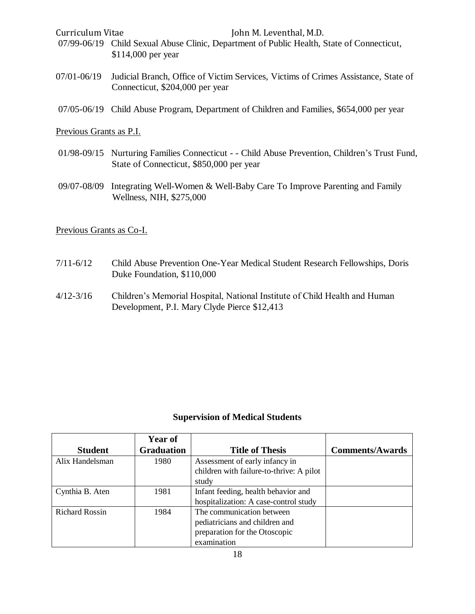- 07/99-06/19 Child Sexual Abuse Clinic, Department of Public Health, State of Connecticut, \$114,000 per year
- 07/01-06/19 Judicial Branch, Office of Victim Services, Victims of Crimes Assistance, State of Connecticut, \$204,000 per year
- 07/05-06/19 Child Abuse Program, Department of Children and Families, \$654,000 per year

## Previous Grants as P.I.

- 01/98-09/15 Nurturing Families Connecticut - Child Abuse Prevention, Children's Trust Fund, State of Connecticut, \$850,000 per year
- 09/07-08/09 Integrating Well-Women & Well-Baby Care To Improve Parenting and Family Wellness, NIH, \$275,000

## Previous Grants as Co-I.

- 7/11-6/12 Child Abuse Prevention One-Year Medical Student Research Fellowships, Doris Duke Foundation, \$110,000
- 4/12-3/16 Children's Memorial Hospital, National Institute of Child Health and Human Development, P.I. Mary Clyde Pierce \$12,413

### **Supervision of Medical Students**

|                       | <b>Year of</b>    |                                          |                        |
|-----------------------|-------------------|------------------------------------------|------------------------|
| <b>Student</b>        | <b>Graduation</b> | <b>Title of Thesis</b>                   | <b>Comments/Awards</b> |
| Alix Handelsman       | 1980              | Assessment of early infancy in           |                        |
|                       |                   | children with failure-to-thrive: A pilot |                        |
|                       |                   | study                                    |                        |
| Cynthia B. Aten       | 1981              | Infant feeding, health behavior and      |                        |
|                       |                   | hospitalization: A case-control study    |                        |
| <b>Richard Rossin</b> | 1984              | The communication between                |                        |
|                       |                   | pediatricians and children and           |                        |
|                       |                   | preparation for the Otoscopic            |                        |
|                       |                   | examination                              |                        |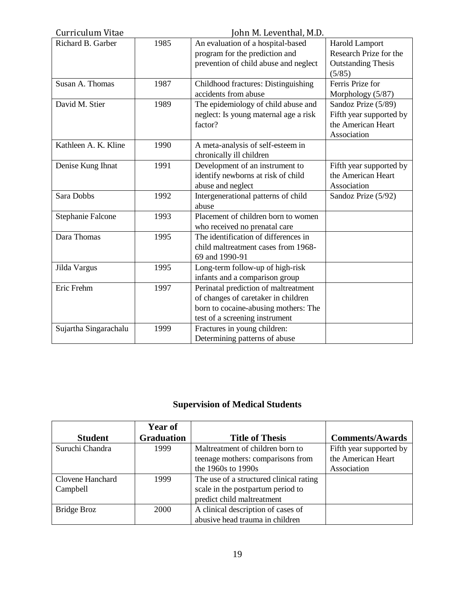| Curriculum Vitae<br>John M. Leventhal, M.D. |      |                                       |                           |
|---------------------------------------------|------|---------------------------------------|---------------------------|
| Richard B. Garber<br>1985                   |      | An evaluation of a hospital-based     | <b>Harold Lamport</b>     |
|                                             |      | program for the prediction and        | Research Prize for the    |
|                                             |      | prevention of child abuse and neglect | <b>Outstanding Thesis</b> |
|                                             |      |                                       | (5/85)                    |
| Susan A. Thomas                             | 1987 | Childhood fractures: Distinguishing   | Ferris Prize for          |
|                                             |      | accidents from abuse                  | Morphology (5/87)         |
| David M. Stier                              | 1989 | The epidemiology of child abuse and   | Sandoz Prize (5/89)       |
|                                             |      | neglect: Is young maternal age a risk | Fifth year supported by   |
|                                             |      | factor?                               | the American Heart        |
|                                             |      |                                       | Association               |
| Kathleen A. K. Kline                        | 1990 | A meta-analysis of self-esteem in     |                           |
|                                             |      | chronically ill children              |                           |
| Denise Kung Ihnat                           | 1991 | Development of an instrument to       | Fifth year supported by   |
|                                             |      | identify newborns at risk of child    | the American Heart        |
|                                             |      | abuse and neglect                     | Association               |
| Sara Dobbs                                  | 1992 | Intergenerational patterns of child   | Sandoz Prize (5/92)       |
|                                             |      | abuse                                 |                           |
| Stephanie Falcone                           | 1993 | Placement of children born to women   |                           |
|                                             |      | who received no prenatal care         |                           |
| Dara Thomas                                 | 1995 | The identification of differences in  |                           |
|                                             |      | child maltreatment cases from 1968-   |                           |
|                                             |      | 69 and 1990-91                        |                           |
| Jilda Vargus                                | 1995 | Long-term follow-up of high-risk      |                           |
|                                             |      | infants and a comparison group        |                           |
| Eric Frehm                                  | 1997 | Perinatal prediction of maltreatment  |                           |
|                                             |      | of changes of caretaker in children   |                           |
|                                             |      | born to cocaine-abusing mothers: The  |                           |
|                                             |      | test of a screening instrument        |                           |
| Sujartha Singarachalu                       | 1999 | Fractures in young children:          |                           |
|                                             |      | Determining patterns of abuse         |                           |

# **Supervision of Medical Students**

|                    | <b>Year of</b>    |                                         |                         |
|--------------------|-------------------|-----------------------------------------|-------------------------|
| <b>Student</b>     | <b>Graduation</b> | <b>Title of Thesis</b>                  | <b>Comments/Awards</b>  |
| Suruchi Chandra    | 1999              | Maltreatment of children born to        | Fifth year supported by |
|                    |                   | teenage mothers: comparisons from       | the American Heart      |
|                    |                   | the 1960s to 1990s                      | Association             |
| Clovene Hanchard   | 1999              | The use of a structured clinical rating |                         |
| Campbell           |                   | scale in the postpartum period to       |                         |
|                    |                   | predict child maltreatment              |                         |
| <b>Bridge Broz</b> | 2000              | A clinical description of cases of      |                         |
|                    |                   | abusive head trauma in children         |                         |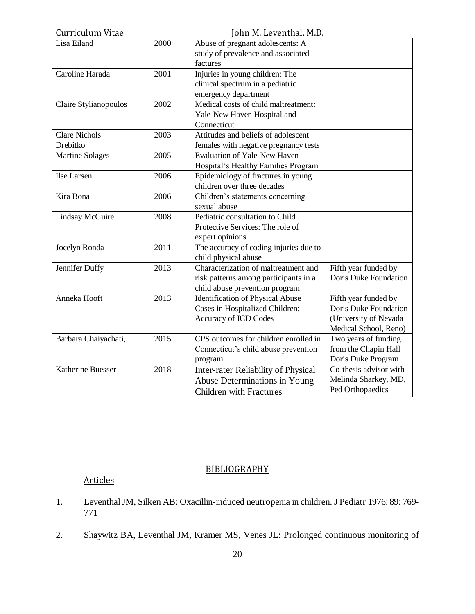| Curriculum Vitae                 | John M. Leventhal, M.D. |                                                                                                                 |                                                                                                 |
|----------------------------------|-------------------------|-----------------------------------------------------------------------------------------------------------------|-------------------------------------------------------------------------------------------------|
| Lisa Eiland                      | 2000                    | Abuse of pregnant adolescents: A<br>study of prevalence and associated<br>factures                              |                                                                                                 |
| Caroline Harada                  | 2001                    | Injuries in young children: The<br>clinical spectrum in a pediatric<br>emergency department                     |                                                                                                 |
| Claire Stylianopoulos            | 2002                    | Medical costs of child maltreatment:<br>Yale-New Haven Hospital and<br>Connecticut                              |                                                                                                 |
| <b>Clare Nichols</b><br>Drebitko | 2003                    | Attitudes and beliefs of adolescent<br>females with negative pregnancy tests                                    |                                                                                                 |
| <b>Martine Solages</b>           | 2005                    | <b>Evaluation of Yale-New Haven</b><br>Hospital's Healthy Families Program                                      |                                                                                                 |
| Ilse Larsen                      | 2006                    | Epidemiology of fractures in young<br>children over three decades                                               |                                                                                                 |
| Kira Bona                        | 2006                    | Children's statements concerning<br>sexual abuse                                                                |                                                                                                 |
| <b>Lindsay McGuire</b>           | 2008                    | Pediatric consultation to Child<br>Protective Services: The role of<br>expert opinions                          |                                                                                                 |
| Jocelyn Ronda                    | 2011                    | The accuracy of coding injuries due to<br>child physical abuse                                                  |                                                                                                 |
| Jennifer Duffy                   | 2013                    | Characterization of maltreatment and<br>risk patterns among participants in a<br>child abuse prevention program | Fifth year funded by<br>Doris Duke Foundation                                                   |
| Anneka Hooft                     | 2013                    | <b>Identification of Physical Abuse</b><br>Cases in Hospitalized Children:<br><b>Accuracy of ICD Codes</b>      | Fifth year funded by<br>Doris Duke Foundation<br>(University of Nevada<br>Medical School, Reno) |
| Barbara Chaiyachati,             | 2015                    | CPS outcomes for children enrolled in<br>Connecticut's child abuse prevention<br>program                        | Two years of funding<br>from the Chapin Hall<br>Doris Duke Program                              |
| Katherine Buesser                | 2018                    | Inter-rater Reliability of Physical<br>Abuse Determinations in Young<br><b>Children with Fractures</b>          | Co-thesis advisor with<br>Melinda Sharkey, MD,<br>Ped Orthopaedics                              |

## BIBLIOGRAPHY

# Articles

- 1. Leventhal JM, Silken AB: Oxacillin-induced neutropenia in children. J Pediatr 1976; 89: 769- 771
- 2. Shaywitz BA, Leventhal JM, Kramer MS, Venes JL: Prolonged continuous monitoring of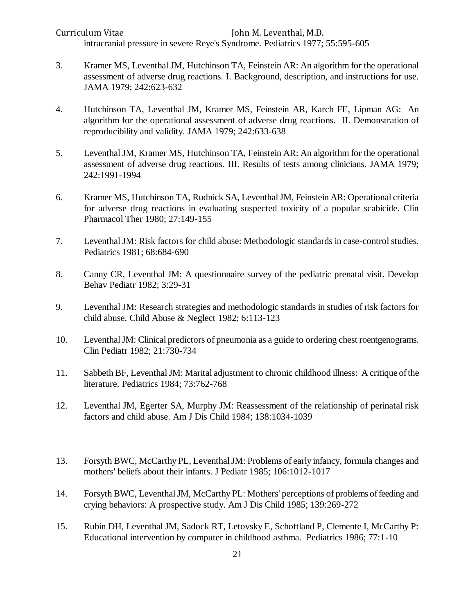Curriculum Vitae John M. Leventhal, M.D. intracranial pressure in severe Reye's Syndrome. Pediatrics 1977; 55:595-605

- 3. Kramer MS, Leventhal JM, Hutchinson TA, Feinstein AR: An algorithm for the operational assessment of adverse drug reactions. I. Background, description, and instructions for use. JAMA 1979; 242:623-632
- 4. Hutchinson TA, Leventhal JM, Kramer MS, Feinstein AR, Karch FE, Lipman AG: An algorithm for the operational assessment of adverse drug reactions. II. Demonstration of reproducibility and validity. JAMA 1979; 242:633-638
- 5. Leventhal JM, Kramer MS, Hutchinson TA, Feinstein AR: An algorithm for the operational assessment of adverse drug reactions. III. Results of tests among clinicians. JAMA 1979; 242:1991-1994
- 6. Kramer MS, Hutchinson TA, Rudnick SA, Leventhal JM, Feinstein AR: Operational criteria for adverse drug reactions in evaluating suspected toxicity of a popular scabicide. Clin Pharmacol Ther 1980; 27:149-155
- 7. Leventhal JM: Risk factors for child abuse: Methodologic standards in case-control studies. Pediatrics 1981; 68:684-690
- 8. Canny CR, Leventhal JM: A questionnaire survey of the pediatric prenatal visit. Develop Behav Pediatr 1982; 3:29-31
- 9. Leventhal JM: Research strategies and methodologic standards in studies of risk factors for child abuse. Child Abuse & Neglect 1982; 6:113-123
- 10. Leventhal JM: Clinical predictors of pneumonia as a guide to ordering chest roentgenograms. Clin Pediatr 1982; 21:730-734
- 11. Sabbeth BF, Leventhal JM: Marital adjustment to chronic childhood illness: A critique of the literature. Pediatrics 1984; 73:762-768
- 12. Leventhal JM, Egerter SA, Murphy JM: Reassessment of the relationship of perinatal risk factors and child abuse. Am J Dis Child 1984; 138:1034-1039
- 13. Forsyth BWC, McCarthy PL, Leventhal JM: Problems of early infancy, formula changes and mothers' beliefs about their infants. J Pediatr 1985; 106:1012-1017
- 14. Forsyth BWC, Leventhal JM, McCarthy PL: Mothers' perceptions of problems of feeding and crying behaviors: A prospective study. Am J Dis Child 1985; 139:269-272
- 15. Rubin DH, Leventhal JM, Sadock RT, Letovsky E, Schottland P, Clemente I, McCarthy P: Educational intervention by computer in childhood asthma. Pediatrics 1986; 77:1-10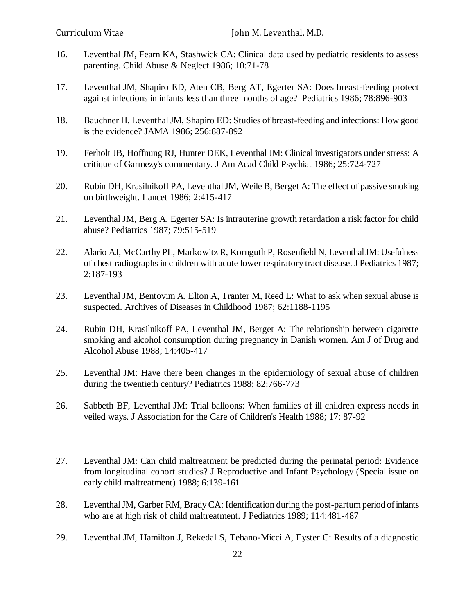- 16. Leventhal JM, Fearn KA, Stashwick CA: Clinical data used by pediatric residents to assess parenting. Child Abuse & Neglect 1986; 10:71-78
- 17. Leventhal JM, Shapiro ED, Aten CB, Berg AT, Egerter SA: Does breast-feeding protect against infections in infants less than three months of age? Pediatrics 1986; 78:896-903
- 18. Bauchner H, Leventhal JM, Shapiro ED: Studies of breast-feeding and infections: How good is the evidence? JAMA 1986; 256:887-892
- 19. Ferholt JB, Hoffnung RJ, Hunter DEK, Leventhal JM: Clinical investigators under stress: A critique of Garmezy's commentary. J Am Acad Child Psychiat 1986; 25:724-727
- 20. Rubin DH, Krasilnikoff PA, Leventhal JM, Weile B, Berget A: The effect of passive smoking on birthweight. Lancet 1986; 2:415-417
- 21. Leventhal JM, Berg A, Egerter SA: Is intrauterine growth retardation a risk factor for child abuse? Pediatrics 1987; 79:515-519
- 22. Alario AJ, McCarthy PL, Markowitz R, Kornguth P, Rosenfield N, Leventhal JM: Usefulness of chest radiographs in children with acute lower respiratory tract disease. J Pediatrics 1987; 2:187-193
- 23. Leventhal JM, Bentovim A, Elton A, Tranter M, Reed L: What to ask when sexual abuse is suspected. Archives of Diseases in Childhood 1987; 62:1188-1195
- 24. Rubin DH, Krasilnikoff PA, Leventhal JM, Berget A: The relationship between cigarette smoking and alcohol consumption during pregnancy in Danish women. Am J of Drug and Alcohol Abuse 1988; 14:405-417
- 25. Leventhal JM: Have there been changes in the epidemiology of sexual abuse of children during the twentieth century? Pediatrics 1988; 82:766-773
- 26. Sabbeth BF, Leventhal JM: Trial balloons: When families of ill children express needs in veiled ways. J Association for the Care of Children's Health 1988; 17: 87-92
- 27. Leventhal JM: Can child maltreatment be predicted during the perinatal period: Evidence from longitudinal cohort studies? J Reproductive and Infant Psychology (Special issue on early child maltreatment) 1988; 6:139-161
- 28. Leventhal JM, Garber RM, Brady CA: Identification during the post-partum period of infants who are at high risk of child maltreatment. J Pediatrics 1989; 114:481-487
- 29. Leventhal JM, Hamilton J, Rekedal S, Tebano-Micci A, Eyster C: Results of a diagnostic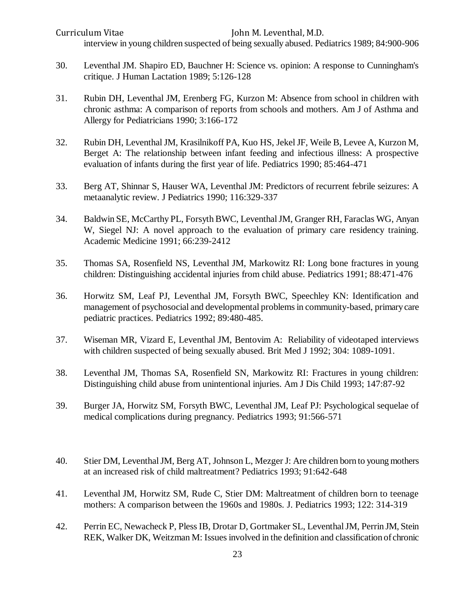Curriculum Vitae John M. Leventhal, M.D. interview in young children suspected of being sexually abused. Pediatrics 1989; 84:900-906

- 30. Leventhal JM. Shapiro ED, Bauchner H: Science vs. opinion: A response to Cunningham's critique. J Human Lactation 1989; 5:126-128
- 31. Rubin DH, Leventhal JM, Erenberg FG, Kurzon M: Absence from school in children with chronic asthma: A comparison of reports from schools and mothers. Am J of Asthma and Allergy for Pediatricians 1990; 3:166-172
- 32. Rubin DH, Leventhal JM, Krasilnikoff PA, Kuo HS, Jekel JF, Weile B, Levee A, Kurzon M, Berget A: The relationship between infant feeding and infectious illness: A prospective evaluation of infants during the first year of life. Pediatrics 1990; 85:464-471
- 33. Berg AT, Shinnar S, Hauser WA, Leventhal JM: Predictors of recurrent febrile seizures: A metaanalytic review. J Pediatrics 1990; 116:329-337
- 34. Baldwin SE, McCarthy PL, Forsyth BWC, Leventhal JM, Granger RH, Faraclas WG, Anyan W, Siegel NJ: A novel approach to the evaluation of primary care residency training. Academic Medicine 1991; 66:239-2412
- 35. Thomas SA, Rosenfield NS, Leventhal JM, Markowitz RI: Long bone fractures in young children: Distinguishing accidental injuries from child abuse. Pediatrics 1991; 88:471-476
- 36. Horwitz SM, Leaf PJ, Leventhal JM, Forsyth BWC, Speechley KN: Identification and management of psychosocial and developmental problems in community-based, primary care pediatric practices. Pediatrics 1992; 89:480-485.
- 37. Wiseman MR, Vizard E, Leventhal JM, Bentovim A: Reliability of videotaped interviews with children suspected of being sexually abused. Brit Med J 1992; 304: 1089-1091.
- 38. Leventhal JM, Thomas SA, Rosenfield SN, Markowitz RI: Fractures in young children: Distinguishing child abuse from unintentional injuries. Am J Dis Child 1993; 147:87-92
- 39. Burger JA, Horwitz SM, Forsyth BWC, Leventhal JM, Leaf PJ: Psychological sequelae of medical complications during pregnancy. Pediatrics 1993; 91:566-571
- 40. Stier DM, Leventhal JM, Berg AT, Johnson L, Mezger J: Are children born to young mothers at an increased risk of child maltreatment? Pediatrics 1993; 91:642-648
- 41. Leventhal JM, Horwitz SM, Rude C, Stier DM: Maltreatment of children born to teenage mothers: A comparison between the 1960s and 1980s. J. Pediatrics 1993; 122: 314-319
- 42. Perrin EC, Newacheck P, Pless IB, Drotar D, Gortmaker SL, Leventhal JM, Perrin JM, Stein REK, Walker DK, Weitzman M: Issues involved in the definition and classification of chronic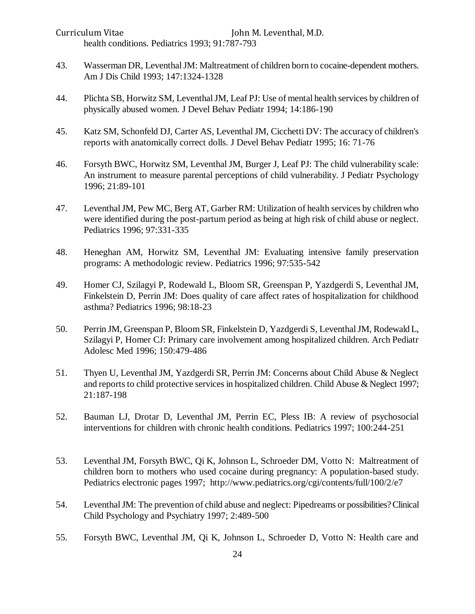Curriculum Vitae John M. Leventhal, M.D. health conditions. Pediatrics 1993; 91:787-793

- 43. Wasserman DR, Leventhal JM: Maltreatment of children born to cocaine-dependent mothers. Am J Dis Child 1993; 147:1324-1328
- 44. Plichta SB, Horwitz SM, Leventhal JM, Leaf PJ: Use of mental health services by children of physically abused women. J Devel Behav Pediatr 1994; 14:186-190
- 45. Katz SM, Schonfeld DJ, Carter AS, Leventhal JM, Cicchetti DV: The accuracy of children's reports with anatomically correct dolls. J Devel Behav Pediatr 1995; 16: 71-76
- 46. Forsyth BWC, Horwitz SM, Leventhal JM, Burger J, Leaf PJ: The child vulnerability scale: An instrument to measure parental perceptions of child vulnerability. J Pediatr Psychology 1996; 21:89-101
- 47. Leventhal JM, Pew MC, Berg AT, Garber RM: Utilization of health services by children who were identified during the post-partum period as being at high risk of child abuse or neglect. Pediatrics 1996; 97:331-335
- 48. Heneghan AM, Horwitz SM, Leventhal JM: Evaluating intensive family preservation programs: A methodologic review. Pediatrics 1996; 97:535-542
- 49. Homer CJ, Szilagyi P, Rodewald L, Bloom SR, Greenspan P, Yazdgerdi S, Leventhal JM, Finkelstein D, Perrin JM: Does quality of care affect rates of hospitalization for childhood asthma? Pediatrics 1996; 98:18-23
- 50. Perrin JM, Greenspan P, Bloom SR, Finkelstein D, Yazdgerdi S, Leventhal JM, Rodewald L, Szilagyi P, Homer CJ: Primary care involvement among hospitalized children. Arch Pediatr Adolesc Med 1996; 150:479-486
- 51. Thyen U, Leventhal JM, Yazdgerdi SR, Perrin JM: Concerns about Child Abuse & Neglect and reports to child protective services in hospitalized children. Child Abuse & Neglect 1997; 21:187-198
- 52. Bauman LJ, Drotar D, Leventhal JM, Perrin EC, Pless IB: A review of psychosocial interventions for children with chronic health conditions. Pediatrics 1997; 100:244-251
- 53. Leventhal JM, Forsyth BWC, Qi K, Johnson L, Schroeder DM, Votto N: Maltreatment of children born to mothers who used cocaine during pregnancy: A population-based study. Pediatrics electronic pages 1997; http://www.pediatrics.org/cgi/contents/full/100/2/e7
- 54. Leventhal JM: The prevention of child abuse and neglect: Pipedreams or possibilities? Clinical Child Psychology and Psychiatry 1997; 2:489-500
- 55. Forsyth BWC, Leventhal JM, Qi K, Johnson L, Schroeder D, Votto N: Health care and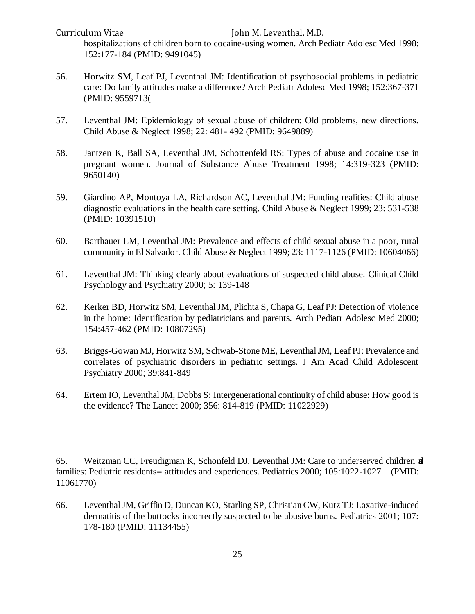hospitalizations of children born to cocaine-using women. Arch Pediatr Adolesc Med 1998; 152:177-184 (PMID: 9491045)

- 56. Horwitz SM, Leaf PJ, Leventhal JM: Identification of psychosocial problems in pediatric care: Do family attitudes make a difference? Arch Pediatr Adolesc Med 1998; 152:367-371 (PMID: 9559713(
- 57. Leventhal JM: Epidemiology of sexual abuse of children: Old problems, new directions. Child Abuse & Neglect 1998; 22: 481- 492 (PMID: 9649889)
- 58. Jantzen K, Ball SA, Leventhal JM, Schottenfeld RS: Types of abuse and cocaine use in pregnant women. Journal of Substance Abuse Treatment 1998; 14:319-323 (PMID: 9650140)
- 59. Giardino AP, Montoya LA, Richardson AC, Leventhal JM: Funding realities: Child abuse diagnostic evaluations in the health care setting. Child Abuse & Neglect 1999; 23: 531-538 (PMID: 10391510)
- 60. Barthauer LM, Leventhal JM: Prevalence and effects of child sexual abuse in a poor, rural community in El Salvador. Child Abuse & Neglect 1999; 23: 1117-1126 (PMID: 10604066)
- 61. Leventhal JM: Thinking clearly about evaluations of suspected child abuse. Clinical Child Psychology and Psychiatry 2000; 5: 139-148
- 62. Kerker BD, Horwitz SM, Leventhal JM, Plichta S, Chapa G, Leaf PJ: Detection of violence in the home: Identification by pediatricians and parents. Arch Pediatr Adolesc Med 2000; 154:457-462 (PMID: 10807295)
- 63. Briggs-Gowan MJ, Horwitz SM, Schwab-Stone ME, Leventhal JM, Leaf PJ: Prevalence and correlates of psychiatric disorders in pediatric settings. J Am Acad Child Adolescent Psychiatry 2000; 39:841-849
- 64. Ertem IO, Leventhal JM, Dobbs S: Intergenerational continuity of child abuse: How good is the evidence? The Lancet 2000; 356: 814-819 (PMID: 11022929)

65. Weitzman CC, Freudigman K, Schonfeld DJ, Leventhal JM: Care to underserved children **a** families: Pediatric residents= attitudes and experiences. Pediatrics 2000; 105:1022-1027 (PMID: 11061770)

66. Leventhal JM, Griffin D, Duncan KO, Starling SP, Christian CW, Kutz TJ: Laxative-induced dermatitis of the buttocks incorrectly suspected to be abusive burns. Pediatrics 2001; 107: 178-180 (PMID: 11134455)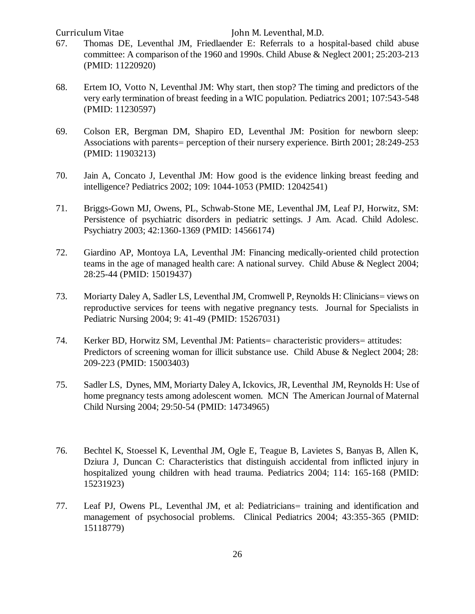- 67. Thomas DE, Leventhal JM, Friedlaender E: Referrals to a hospital-based child abuse committee: A comparison of the 1960 and 1990s. Child Abuse & Neglect 2001; 25:203-213 (PMID: 11220920)
- 68. Ertem IO, Votto N, Leventhal JM: Why start, then stop? The timing and predictors of the very early termination of breast feeding in a WIC population. Pediatrics 2001; 107:543-548 (PMID: 11230597)
- 69. Colson ER, Bergman DM, Shapiro ED, Leventhal JM: Position for newborn sleep: Associations with parents= perception of their nursery experience. Birth 2001; 28:249-253 (PMID: 11903213)
- 70. Jain A, Concato J, Leventhal JM: How good is the evidence linking breast feeding and intelligence? Pediatrics 2002; 109: 1044-1053 (PMID: 12042541)
- 71. Briggs-Gown MJ, Owens, PL, Schwab-Stone ME, Leventhal JM, Leaf PJ, Horwitz, SM: Persistence of psychiatric disorders in pediatric settings. J Am. Acad. Child Adolesc. Psychiatry 2003; 42:1360-1369 (PMID: 14566174)
- 72. Giardino AP, Montoya LA, Leventhal JM: Financing medically-oriented child protection teams in the age of managed health care: A national survey. Child Abuse & Neglect 2004; 28:25-44 (PMID: 15019437)
- 73. Moriarty Daley A, Sadler LS, Leventhal JM, Cromwell P, Reynolds H: Clinicians= views on reproductive services for teens with negative pregnancy tests. Journal for Specialists in Pediatric Nursing 2004; 9: 41-49 (PMID: 15267031)
- 74. Kerker BD, Horwitz SM, Leventhal JM: Patients= characteristic providers= attitudes: Predictors of screening woman for illicit substance use. Child Abuse & Neglect 2004; 28: 209-223 (PMID: 15003403)
- 75. Sadler LS, Dynes, MM, Moriarty Daley A, Ickovics, JR, Leventhal JM, Reynolds H: Use of home pregnancy tests among adolescent women. MCN The American Journal of Maternal Child Nursing 2004; 29:50-54 (PMID: 14734965)
- 76. Bechtel K, Stoessel K, Leventhal JM, Ogle E, Teague B, Lavietes S, Banyas B, Allen K, Dziura J, Duncan C: Characteristics that distinguish accidental from inflicted injury in hospitalized young children with head trauma. Pediatrics 2004; 114: 165-168 (PMID: 15231923)
- 77. Leaf PJ, Owens PL, Leventhal JM, et al: Pediatricians= training and identification and management of psychosocial problems. Clinical Pediatrics 2004; 43:355-365 (PMID: 15118779)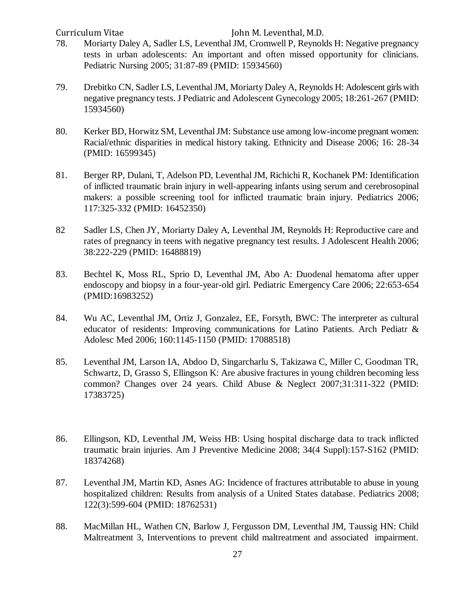- 78. Moriarty Daley A, Sadler LS, Leventhal JM, Cromwell P, Reynolds H: Negative pregnancy tests in urban adolescents: An important and often missed opportunity for clinicians. Pediatric Nursing 2005; 31:87-89 (PMID: 15934560)
- 79. Drebitko CN, Sadler LS, Leventhal JM, Moriarty Daley A, Reynolds H: Adolescent girls with negative pregnancy tests. J Pediatric and Adolescent Gynecology 2005; 18:261-267 (PMID: 15934560)
- 80. Kerker BD, Horwitz SM, Leventhal JM: Substance use among low-income pregnant women: Racial/ethnic disparities in medical history taking. Ethnicity and Disease 2006; 16: 28-34 (PMID: 16599345)
- 81. Berger RP, Dulani, T, Adelson PD, Leventhal JM, Richichi R, Kochanek PM: Identification of inflicted traumatic brain injury in well-appearing infants using serum and cerebrosopinal makers: a possible screening tool for inflicted traumatic brain injury. Pediatrics 2006; 117:325-332 (PMID: 16452350)
- 82 Sadler LS, Chen JY, Moriarty Daley A, Leventhal JM, Reynolds H: Reproductive care and rates of pregnancy in teens with negative pregnancy test results. J Adolescent Health 2006; 38:222-229 (PMID: 16488819)
- 83. Bechtel K, Moss RL, Sprio D, Leventhal JM, Abo A: Duodenal hematoma after upper endoscopy and biopsy in a four-year-old girl. Pediatric Emergency Care 2006; 22:653-654 (PMID:16983252)
- 84. Wu AC, Leventhal JM, Ortiz J, Gonzalez, EE, Forsyth, BWC: The interpreter as cultural educator of residents: Improving communications for Latino Patients. Arch Pediatr & Adolesc Med 2006; 160:1145-1150 (PMID: 17088518)
- 85. Leventhal JM, Larson IA, Abdoo D, Singarcharlu S, Takizawa C, Miller C, Goodman TR, Schwartz, D, Grasso S, Ellingson K: Are abusive fractures in young children becoming less common? Changes over 24 years. Child Abuse & Neglect 2007;31:311-322 (PMID: 17383725)
- 86. Ellingson, KD, Leventhal JM, Weiss HB: Using hospital discharge data to track inflicted traumatic brain injuries. Am J Preventive Medicine 2008; 34(4 Suppl):157-S162 (PMID: 18374268)
- 87. Leventhal JM, Martin KD, Asnes AG: Incidence of fractures attributable to abuse in young hospitalized children: Results from analysis of a United States database. Pediatrics 2008; 122(3):599-604 (PMID: 18762531)
- 88. MacMillan HL, Wathen CN, Barlow J, Fergusson DM, Leventhal JM, Taussig HN: Child Maltreatment 3, Interventions to prevent child maltreatment and associated impairment.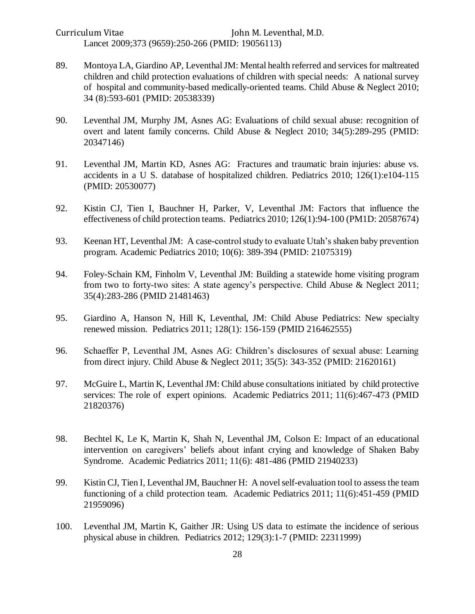Curriculum Vitae John M. Leventhal, M.D. Lancet 2009;373 (9659):250-266 (PMID: 19056113)

- 89. Montoya LA, Giardino AP, Leventhal JM: Mental health referred and services for maltreated children and child protection evaluations of children with special needs: A national survey of hospital and community-based medically-oriented teams. Child Abuse & Neglect 2010; 34 (8):593-601 (PMID: 20538339)
- 90. Leventhal JM, Murphy JM, Asnes AG: Evaluations of child sexual abuse: recognition of overt and latent family concerns. Child Abuse & Neglect 2010; 34(5):289-295 (PMID: 20347146)
- 91. Leventhal JM, Martin KD, Asnes AG: Fractures and traumatic brain injuries: abuse vs. accidents in a U S. database of hospitalized children. Pediatrics 2010; 126(1):e104-115 (PMID: 20530077)
- 92. Kistin CJ, Tien I, Bauchner H, Parker, V, Leventhal JM: Factors that influence the effectiveness of child protection teams. Pediatrics 2010; 126(1):94-100 (PM1D: 20587674)
- 93. Keenan HT, Leventhal JM: A case-control study to evaluate Utah's shaken baby prevention program. Academic Pediatrics 2010; 10(6): 389-394 (PMID: 21075319)
- 94. Foley-Schain KM, Finholm V, Leventhal JM: Building a statewide home visiting program from two to forty-two sites: A state agency's perspective. Child Abuse & Neglect 2011; 35(4):283-286 (PMID 21481463)
- 95. Giardino A, Hanson N, Hill K, Leventhal, JM: Child Abuse Pediatrics: New specialty renewed mission. Pediatrics 2011; 128(1): 156-159 (PMID 216462555)
- 96. Schaeffer P, Leventhal JM, Asnes AG: Children's disclosures of sexual abuse: Learning from direct injury. Child Abuse & Neglect 2011; 35(5): 343-352 (PMID: 21620161)
- 97. McGuire L, Martin K, Leventhal JM: Child abuse consultations initiated by child protective services: The role of expert opinions. Academic Pediatrics 2011; 11(6):467-473 (PMID 21820376)
- 98. Bechtel K, Le K, Martin K, Shah N, Leventhal JM, Colson E: Impact of an educational intervention on caregivers' beliefs about infant crying and knowledge of Shaken Baby Syndrome. Academic Pediatrics 2011; 11(6): 481-486 (PMID 21940233)
- 99. Kistin CJ, Tien I, Leventhal JM, Bauchner H: A novel self-evaluation tool to assess the team functioning of a child protection team. Academic Pediatrics 2011; 11(6):451-459 (PMID 21959096)
- 100. Leventhal JM, Martin K, Gaither JR: Using US data to estimate the incidence of serious physical abuse in children. Pediatrics 2012; 129(3):1-7 (PMID: 22311999)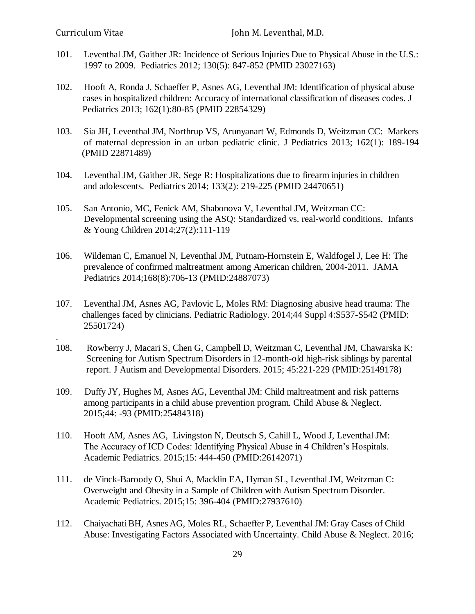.

- 101. Leventhal JM, Gaither JR: Incidence of Serious Injuries Due to Physical Abuse in the U.S.: 1997 to 2009. Pediatrics 2012; 130(5): 847-852 (PMID 23027163)
- 102. Hooft A, Ronda J, Schaeffer P, Asnes AG, Leventhal JM: Identification of physical abuse cases in hospitalized children: Accuracy of international classification of diseases codes. J Pediatrics 2013; 162(1):80-85 (PMID 22854329)
- 103. Sia JH, Leventhal JM, Northrup VS, Arunyanart W, Edmonds D, Weitzman CC: Markers of maternal depression in an urban pediatric clinic. J Pediatrics 2013; 162(1): 189-194 (PMID 22871489)
- 104. Leventhal JM, Gaither JR, Sege R: Hospitalizations due to firearm injuries in children and adolescents. Pediatrics 2014; 133(2): 219-225 (PMID 24470651)
- 105. San Antonio, MC, Fenick AM, Shabonova V, Leventhal JM, Weitzman CC: Developmental screening using the ASQ: Standardized vs. real-world conditions. Infants & Young Children 2014;27(2):111-119
- 106. Wildeman C, Emanuel N, Leventhal JM, Putnam-Hornstein E, Waldfogel J, Lee H: The prevalence of confirmed maltreatment among American children, 2004-2011. JAMA Pediatrics 2014;168(8):706-13 (PMID:24887073)
- 107. Leventhal JM, Asnes AG, Pavlovic L, Moles RM: Diagnosing abusive head trauma: The challenges faced by clinicians. Pediatric Radiology. 2014;44 Suppl 4:S537-S542 (PMID: 25501724)
- 108. Rowberry J, Macari S, Chen G, Campbell D, Weitzman C, Leventhal JM, Chawarska K: Screening for Autism Spectrum Disorders in 12-month-old high-risk siblings by parental report. J Autism and Developmental Disorders. 2015; 45:221-229 (PMID:25149178)
- 109. Duffy JY, Hughes M, Asnes AG, Leventhal JM: Child maltreatment and risk patterns among participants in a child abuse prevention program. Child Abuse & Neglect. 2015;44: -93 (PMID:25484318)
- 110. Hooft AM, Asnes AG, Livingston N, Deutsch S, Cahill L, Wood J, Leventhal JM: The Accuracy of ICD Codes: Identifying Physical Abuse in 4 Children's Hospitals. Academic Pediatrics. 2015;15: 444-450 (PMID:26142071)
- 111. de Vinck-Baroody O, Shui A, Macklin EA, Hyman SL, Leventhal JM, Weitzman C: Overweight and Obesity in a Sample of Children with Autism Spectrum Disorder. Academic Pediatrics. 2015;15: 396-404 (PMID:27937610)
- 112. ChaiyachatiBH, Asnes AG, Moles RL, Schaeffer P, Leventhal JM: Gray Cases of Child Abuse: Investigating Factors Associated with Uncertainty. Child Abuse & Neglect. 2016;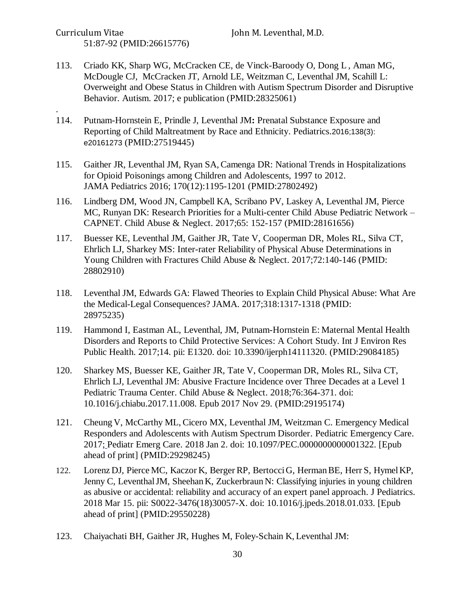Curriculum Vitae John M. Leventhal, M.D. 51:87-92 (PMID:26615776)

.

- 113. Criado KK, Sharp WG, McCracken CE, de Vinck-Baroody O, Dong L , Aman MG, McDougle CJ, McCracken JT, Arnold LE, Weitzman C, Leventhal JM, Scahill L: Overweight and Obese Status in Children with Autism Spectrum Disorder and Disruptive Behavior. Autism. 2017; e publication (PMID:28325061)
- 114. Putnam-Hornstein E, Prindle J, Leventhal JM**:** Prenatal Substance Exposure and Reporting of Child Maltreatment by Race and Ethnicity. Pediatrics.2016;138(3): e20161273 (PMID:27519445)
- 115. Gaither JR, Leventhal JM, Ryan SA, Camenga DR: National Trends in Hospitalizations for Opioid Poisonings among Children and Adolescents, 1997 to 2012. JAMA Pediatrics 2016; 170(12):1195-1201 (PMID:27802492)
- 116. Lindberg DM, Wood JN, Campbell KA, Scribano PV, Laskey A, Leventhal JM, Pierce MC, Runyan DK: Research Priorities for a Multi-center Child Abuse Pediatric Network – CAPNET. Child Abuse & Neglect. 2017;65: 152-157 (PMID:28161656)
- 117. [Buesser](https://www.ncbi.nlm.nih.gov/pubmed/?term=Buesser%20KE%5BAuthor%5D&cauthor=true&cauthor_uid=28802910) KE, [Leventhal](https://www.ncbi.nlm.nih.gov/pubmed/?term=Leventhal%20JM%5BAuthor%5D&cauthor=true&cauthor_uid=28802910) JM, [Gaither JR,](https://www.ncbi.nlm.nih.gov/pubmed/?term=Gaither%20JR%5BAuthor%5D&cauthor=true&cauthor_uid=28802910) [Tate V,](https://www.ncbi.nlm.nih.gov/pubmed/?term=Tate%20V%5BAuthor%5D&cauthor=true&cauthor_uid=28802910) [Cooperman DR,](https://www.ncbi.nlm.nih.gov/pubmed/?term=Cooperman%20DR%5BAuthor%5D&cauthor=true&cauthor_uid=28802910) Moles RL, [Silva CT,](https://www.ncbi.nlm.nih.gov/pubmed/?term=Silva%20CT%5BAuthor%5D&cauthor=true&cauthor_uid=28802910) [Ehrlich LJ,](https://www.ncbi.nlm.nih.gov/pubmed/?term=Ehrlich%20LJ%5BAuthor%5D&cauthor=true&cauthor_uid=28802910) [Sharkey MS:](https://www.ncbi.nlm.nih.gov/pubmed/?term=Sharkey%20MS%5BAuthor%5D&cauthor=true&cauthor_uid=28802910) Inter-rater Reliability of Physical Abuse Determinations in Young Children with Fractures [Child Abuse & Neglect.](https://www.ncbi.nlm.nih.gov/pubmed/?term=buesser+and+leventhal) 2017;72:140-146 (PMID: 28802910)
- 118. Leventhal JM, Edwards GA: Flawed Theories to Explain Child Physical Abuse: What Are the Medical-Legal Consequences? JAMA. 2017;318:1317-1318 (PMID: 28975235)
- 119. Hammond I, Eastman AL, Leventhal, JM, Putnam-Hornstein E: Maternal Mental Health Disorders and Reports to Child Protective Services: A Cohort Study. Int J Environ Res Public Health. 2017;14. pii: E1320. doi: 10.3390/ijerph14111320. (PMID:29084185)
- 120. Sharkey MS, Buesser KE, Gaither JR, Tate V, Cooperman DR, Moles RL, Silva CT, Ehrlich LJ, Leventhal JM: Abusive Fracture Incidence over Three Decades at a Level 1 Pediatric Trauma Center. Child Abuse & Neglect. 2018;76:364-371. doi: 10.1016/j.chiabu.2017.11.008. Epub 2017 Nov 29. (PMID:29195174)
- 121. Cheung V, McCarthy ML, Cicero MX, Leventhal JM, Weitzman C. Emergency Medical Responders and Adolescents with Autism Spectrum Disorder. Pediatric Emergency Care. 2017; Pediatr Emerg Care. 2018 Jan 2. doi: 10.1097/PEC.0000000000001322. [Epub ahead of print] (PMID:29298245)
- 122. Lorenz DJ, Pierce MC, Kaczor K, Berger RP, BertocciG, HermanBE, Herr S, HymelKP, Jenny C, LeventhalJM, Sheehan K, Zuckerbraun N: Classifying injuries in young children as abusive or accidental: reliability and accuracy of an expert panel approach. J Pediatrics. 2018 Mar 15. pii: S0022-3476(18)30057-X. doi: 10.1016/j.jpeds.2018.01.033. [Epub ahead of print] (PMID:29550228)
- 123. Chaiyachati BH, Gaither JR, Hughes M, Foley-Schain K, Leventhal JM: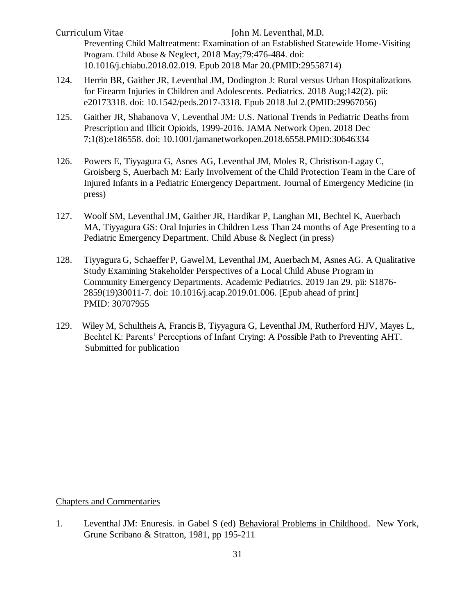Curriculum Vitae John M. Leventhal, M.D. Preventing Child Maltreatment: Examination of an Established Statewide Home-Visiting Program. Child Abuse & Neglect, 2018 May;79:476-484. doi: 10.1016/j.chiabu.2018.02.019. Epub 2018 Mar 20.(PMID:29558714)

- 124. Herrin BR, Gaither JR, Leventhal JM, Dodington J: Rural versus Urban Hospitalizations for Firearm Injuries in Children and Adolescents. Pediatrics. 2018 Aug;142(2). pii: e20173318. doi: 10.1542/peds.2017-3318. Epub 2018 Jul 2.(PMID:29967056)
- 125. Gaither JR, Shabanova V, Leventhal JM: U.S. National Trends in Pediatric Deaths from Prescription and Illicit Opioids, 1999-2016. JAMA Network Open. 2018 Dec 7;1(8):e186558. doi: 10.1001/jamanetworkopen.2018.6558.PMID:30646334
- 126. Powers E, Tiyyagura G, Asnes AG, Leventhal JM, Moles R, Christison-Lagay C, Groisberg S, Auerbach M: Early Involvement of the Child Protection Team in the Care of Injured Infants in a Pediatric Emergency Department. Journal of Emergency Medicine (in press)
- 127. Woolf SM, Leventhal JM, Gaither JR, Hardikar P, Langhan MI, Bechtel K, Auerbach MA, Tiyyagura GS: Oral Injuries in Children Less Than 24 months of Age Presenting to a Pediatric Emergency Department. Child Abuse & Neglect (in press)
- 128. Tiyyagura G, Schaeffer P, Gawel M, Leventhal JM, Auerbach M, Asnes AG. A Qualitative Study Examining Stakeholder Perspectives of a Local Child Abuse Program in Community Emergency Departments. Academic Pediatrics. 2019 Jan 29. pii: S1876- 2859(19)30011-7. doi: 10.1016/j.acap.2019.01.006. [Epub ahead of print] PMID: 30707955
- 129. Wiley M, Schultheis A, FrancisB, Tiyyagura G, Leventhal JM, Rutherford HJV, Mayes L, Bechtel K: Parents' Perceptions of Infant Crying: A Possible Path to Preventing AHT. Submitted for publication

Chapters and Commentaries

1. Leventhal JM: Enuresis. in Gabel S (ed) Behavioral Problems in Childhood. New York, Grune Scribano & Stratton, 1981, pp 195-211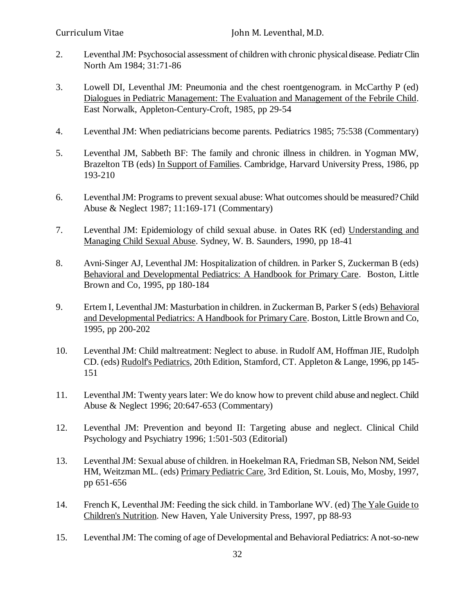- 2. Leventhal JM: Psychosocial assessment of children with chronic physical disease. Pediatr Clin North Am 1984; 31:71-86
- 3. Lowell DI, Leventhal JM: Pneumonia and the chest roentgenogram. in McCarthy P (ed) Dialogues in Pediatric Management: The Evaluation and Management of the Febrile Child. East Norwalk, Appleton-Century-Croft, 1985, pp 29-54
- 4. Leventhal JM: When pediatricians become parents. Pediatrics 1985; 75:538 (Commentary)
- 5. Leventhal JM, Sabbeth BF: The family and chronic illness in children. in Yogman MW, Brazelton TB (eds) In Support of Families. Cambridge, Harvard University Press, 1986, pp 193-210
- 6. Leventhal JM: Programs to prevent sexual abuse: What outcomes should be measured? Child Abuse & Neglect 1987; 11:169-171 (Commentary)
- 7. Leventhal JM: Epidemiology of child sexual abuse. in Oates RK (ed) Understanding and Managing Child Sexual Abuse. Sydney, W. B. Saunders, 1990, pp 18-41
- 8. Avni-Singer AJ, Leventhal JM: Hospitalization of children. in Parker S, Zuckerman B (eds) Behavioral and Developmental Pediatrics: A Handbook for Primary Care. Boston, Little Brown and Co, 1995, pp 180-184
- 9. Ertem I, Leventhal JM: Masturbation in children. in Zuckerman B, Parker S (eds) Behavioral and Developmental Pediatrics: A Handbook for Primary Care. Boston, Little Brown and Co, 1995, pp 200-202
- 10. Leventhal JM: Child maltreatment: Neglect to abuse. in Rudolf AM, Hoffman JIE, Rudolph CD. (eds) Rudolf's Pediatrics, 20th Edition, Stamford, CT. Appleton & Lange, 1996, pp 145- 151
- 11. Leventhal JM: Twenty years later: We do know how to prevent child abuse and neglect. Child Abuse & Neglect 1996; 20:647-653 (Commentary)
- 12. Leventhal JM: Prevention and beyond II: Targeting abuse and neglect. Clinical Child Psychology and Psychiatry 1996; 1:501-503 (Editorial)
- 13. Leventhal JM: Sexual abuse of children. in Hoekelman RA, Friedman SB, Nelson NM, Seidel HM, Weitzman ML. (eds) Primary Pediatric Care, 3rd Edition, St. Louis, Mo, Mosby, 1997, pp 651-656
- 14. French K, Leventhal JM: Feeding the sick child. in Tamborlane WV. (ed) The Yale Guide to Children's Nutrition. New Haven, Yale University Press, 1997, pp 88-93
- 15. Leventhal JM: The coming of age of Developmental and Behavioral Pediatrics: A not-so-new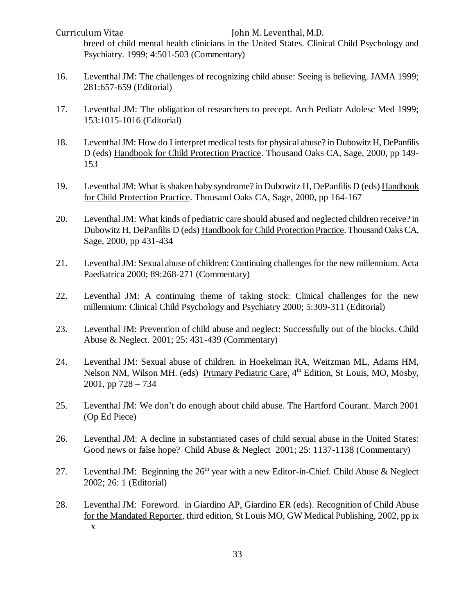Curriculum Vitae John M. Leventhal, M.D. breed of child mental health clinicians in the United States. Clinical Child Psychology and Psychiatry. 1999; 4:501-503 (Commentary)

- 16. Leventhal JM: The challenges of recognizing child abuse: Seeing is believing. JAMA 1999; 281:657-659 (Editorial)
- 17. Leventhal JM: The obligation of researchers to precept. Arch Pediatr Adolesc Med 1999; 153:1015-1016 (Editorial)
- 18. Leventhal JM: How do I interpret medical tests for physical abuse? in Dubowitz H, DePanfilis D (eds) Handbook for Child Protection Practice. Thousand Oaks CA, Sage, 2000, pp 149- 153
- 19. Leventhal JM: What is shaken baby syndrome? in Dubowitz H, DePanfilis D (eds) Handbook for Child Protection Practice. Thousand Oaks CA, Sage, 2000, pp 164-167
- 20. Leventhal JM: What kinds of pediatric care should abused and neglected children receive? in Dubowitz H, DePanfilis D (eds) Handbook for Child Protection Practice. Thousand Oaks CA, Sage, 2000, pp 431-434
- 21. Leventhal JM: Sexual abuse of children: Continuing challenges for the new millennium. Acta Paediatrica 2000; 89:268-271 (Commentary)
- 22. Leventhal JM: A continuing theme of taking stock: Clinical challenges for the new millennium: Clinical Child Psychology and Psychiatry 2000; 5:309-311 (Editorial)
- 23. Leventhal JM: Prevention of child abuse and neglect: Successfully out of the blocks. Child Abuse & Neglect. 2001; 25: 431-439 (Commentary)
- 24. Leventhal JM: Sexual abuse of children. in Hoekelman RA, Weitzman ML, Adams HM, Nelson NM, Wilson MH. (eds) Primary Pediatric Care, 4<sup>th</sup> Edition, St Louis, MO, Mosby, 2001, pp 728 – 734
- 25. Leventhal JM: We don't do enough about child abuse. The Hartford Courant. March 2001 (Op Ed Piece)
- 26. Leventhal JM: A decline in substantiated cases of child sexual abuse in the United States: Good news or false hope? Child Abuse & Neglect 2001; 25: 1137-1138 (Commentary)
- 27. Leventhal JM: Beginning the  $26<sup>th</sup>$  year with a new Editor-in-Chief. Child Abuse & Neglect 2002; 26: 1 (Editorial)
- 28. Leventhal JM: Foreword. in Giardino AP, Giardino ER (eds). Recognition of Child Abuse for the Mandated Reporter, third edition, St Louis MO, GW Medical Publishing, 2002, pp ix – x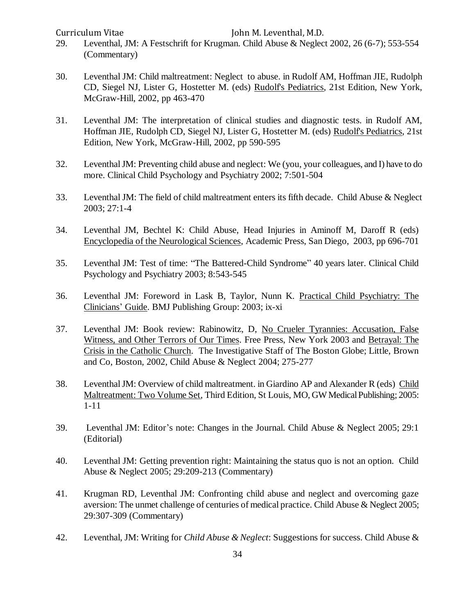- 29. Leventhal, JM: A Festschrift for Krugman. Child Abuse & Neglect 2002, 26 (6-7); 553-554 (Commentary)
- 30. Leventhal JM: Child maltreatment: Neglect to abuse. in Rudolf AM, Hoffman JIE, Rudolph CD, Siegel NJ, Lister G, Hostetter M. (eds) Rudolf's Pediatrics, 21st Edition, New York, McGraw-Hill, 2002, pp 463-470
- 31. Leventhal JM: The interpretation of clinical studies and diagnostic tests. in Rudolf AM, Hoffman JIE, Rudolph CD, Siegel NJ, Lister G, Hostetter M. (eds) Rudolf's Pediatrics, 21st Edition, New York, McGraw-Hill, 2002, pp 590-595
- 32. Leventhal JM: Preventing child abuse and neglect: We (you, your colleagues, and I) have to do more. Clinical Child Psychology and Psychiatry 2002; 7:501-504
- 33. Leventhal JM: The field of child maltreatment enters its fifth decade. Child Abuse & Neglect 2003; 27:1-4
- 34. Leventhal JM, Bechtel K: Child Abuse, Head Injuries in Aminoff M, Daroff R (eds) Encyclopedia of the Neurological Sciences, Academic Press, San Diego, 2003, pp 696-701
- 35. Leventhal JM: Test of time: "The Battered-Child Syndrome" 40 years later. Clinical Child Psychology and Psychiatry 2003; 8:543-545
- 36. Leventhal JM: Foreword in Lask B, Taylor, Nunn K. Practical Child Psychiatry: The Clinicians' Guide. BMJ Publishing Group: 2003; ix-xi
- 37. Leventhal JM: Book review: Rabinowitz, D, No Crueler Tyrannies: Accusation, False Witness, and Other Terrors of Our Times. Free Press, New York 2003 and Betrayal: The Crisis in the Catholic Church. The Investigative Staff of The Boston Globe; Little, Brown and Co, Boston, 2002, Child Abuse & Neglect 2004; 275-277
- 38. Leventhal JM: Overview of child maltreatment. in Giardino AP and Alexander R (eds) Child Maltreatment: Two Volume Set, Third Edition, St Louis, MO, GW Medical Publishing; 2005: 1-11
- 39. Leventhal JM: Editor's note: Changes in the Journal. Child Abuse & Neglect 2005; 29:1 (Editorial)
- 40. Leventhal JM: Getting prevention right: Maintaining the status quo is not an option. Child Abuse & Neglect 2005; 29:209-213 (Commentary)
- 41. Krugman RD, Leventhal JM: Confronting child abuse and neglect and overcoming gaze aversion: The unmet challenge of centuries of medical practice. Child Abuse & Neglect 2005; 29:307-309 (Commentary)
- 42. Leventhal, JM: Writing for *Child Abuse & Neglect*: Suggestions for success. Child Abuse &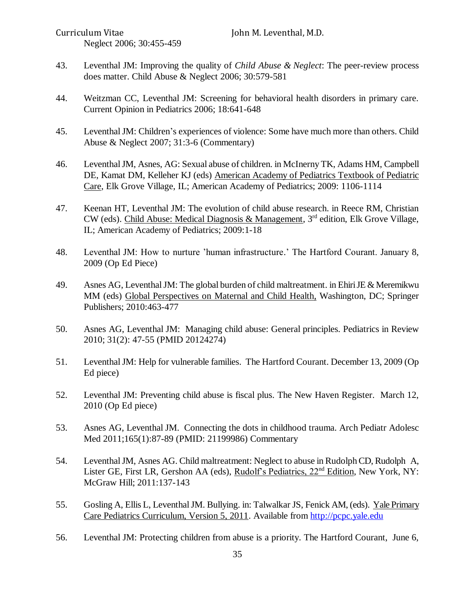- 43. Leventhal JM: Improving the quality of *Child Abuse & Neglect*: The peer-review process does matter. Child Abuse & Neglect 2006; 30:579-581
- 44. Weitzman CC, Leventhal JM: Screening for behavioral health disorders in primary care. Current Opinion in Pediatrics 2006; 18:641-648
- 45. Leventhal JM: Children's experiences of violence: Some have much more than others. Child Abuse & Neglect 2007; 31:3-6 (Commentary)
- 46. Leventhal JM, Asnes, AG: Sexual abuse of children. in McInerny TK, Adams HM, Campbell DE, Kamat DM, Kelleher KJ (eds) American Academy of Pediatrics Textbook of Pediatric Care, Elk Grove Village, IL; American Academy of Pediatrics; 2009: 1106-1114
- 47. Keenan HT, Leventhal JM: The evolution of child abuse research. in Reece RM, Christian CW (eds). Child Abuse: Medical Diagnosis & Management, 3rd edition, Elk Grove Village, IL; American Academy of Pediatrics; 2009:1-18
- 48. Leventhal JM: How to nurture 'human infrastructure.' The Hartford Courant. January 8, 2009 (Op Ed Piece)
- 49. Asnes AG, Leventhal JM: The global burden of child maltreatment. in Ehiri JE & Meremikwu MM (eds) Global Perspectives on Maternal and Child Health, Washington, DC; Springer Publishers; 2010:463-477
- 50. Asnes AG, Leventhal JM: Managing child abuse: General principles. Pediatrics in Review 2010; 31(2): 47-55 (PMID 20124274)
- 51. Leventhal JM: Help for vulnerable families. The Hartford Courant. December 13, 2009 (Op Ed piece)
- 52. Leventhal JM: Preventing child abuse is fiscal plus. The New Haven Register. March 12, 2010 (Op Ed piece)
- 53. Asnes AG, Leventhal JM. Connecting the dots in childhood trauma. Arch Pediatr Adolesc Med 2011;165(1):87-89 (PMID: 21199986) Commentary
- 54. Leventhal JM, Asnes AG. Child maltreatment: Neglect to abuse in Rudolph CD, Rudolph A, Lister GE, First LR, Gershon AA (eds), *Rudolf's Pediatrics*, 22<sup>nd</sup> Edition, New York, NY: McGraw Hill; 2011:137-143
- 55. Gosling A, Ellis L, Leventhal JM. Bullying. in: Talwalkar JS, Fenick AM, (eds). Yale Primary Care Pediatrics Curriculum, Version 5, 2011. Available from [http://pcpc.yale.edu](http://pcpc.yale.edu/)
- 56. Leventhal JM: Protecting children from abuse is a priority. The Hartford Courant, June 6,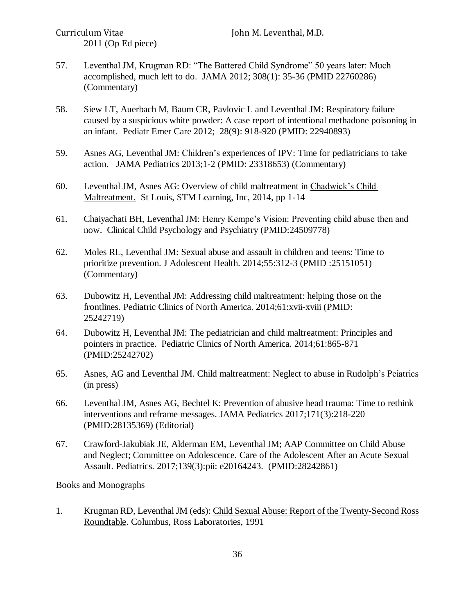- 57. Leventhal JM, Krugman RD: "The Battered Child Syndrome" 50 years later: Much accomplished, much left to do. JAMA 2012; 308(1): 35-36 (PMID 22760286) (Commentary)
- 58. Siew LT, Auerbach M, Baum CR, Pavlovic L and Leventhal JM: Respiratory failure caused by a suspicious white powder: A case report of intentional methadone poisoning in an infant. Pediatr Emer Care 2012; 28(9): 918-920 (PMID: 22940893)
- 59. Asnes AG, Leventhal JM: Children's experiences of IPV: Time for pediatricians to take action. JAMA Pediatrics 2013;1-2 (PMID: 23318653) (Commentary)
- 60. Leventhal JM, Asnes AG: Overview of child maltreatment in Chadwick's Child Maltreatment. St Louis, STM Learning, Inc, 2014, pp 1-14
- 61. Chaiyachati BH, Leventhal JM: Henry Kempe's Vision: Preventing child abuse then and now. Clinical Child Psychology and Psychiatry (PMID:24509778)
- 62. Moles RL, Leventhal JM: Sexual abuse and assault in children and teens: Time to prioritize prevention. J Adolescent Health. 2014;55:312-3 (PMID :25151051) (Commentary)
- 63. Dubowitz H, Leventhal JM: Addressing child maltreatment: helping those on the frontlines. Pediatric Clinics of North America. 2014;61:xvii-xviii (PMID: 25242719)
- 64. Dubowitz H, Leventhal JM: The pediatrician and child maltreatment: Principles and pointers in practice. Pediatric Clinics of North America. 2014;61:865-871 (PMID:25242702)
- 65. Asnes, AG and Leventhal JM. Child maltreatment: Neglect to abuse in Rudolph's Peiatrics (in press)
- 66. Leventhal JM, Asnes AG, Bechtel K: Prevention of abusive head trauma: Time to rethink interventions and reframe messages. JAMA Pediatrics 2017;171(3):218-220 (PMID:28135369) (Editorial)
- 67. Crawford-Jakubiak JE, Alderman EM, Leventhal JM; AAP Committee on Child Abuse and Neglect; Committee on Adolescence. [Care of the Adolescent After an Acute Sexual](https://www.ncbi.nlm.nih.gov/pubmed/28242861)  [Assault.](https://www.ncbi.nlm.nih.gov/pubmed/28242861) Pediatrics. 2017;139(3):pii: e20164243. (PMID:28242861)

Books and Monographs

1. Krugman RD, Leventhal JM (eds): Child Sexual Abuse: Report of the Twenty-Second Ross Roundtable. Columbus, Ross Laboratories, 1991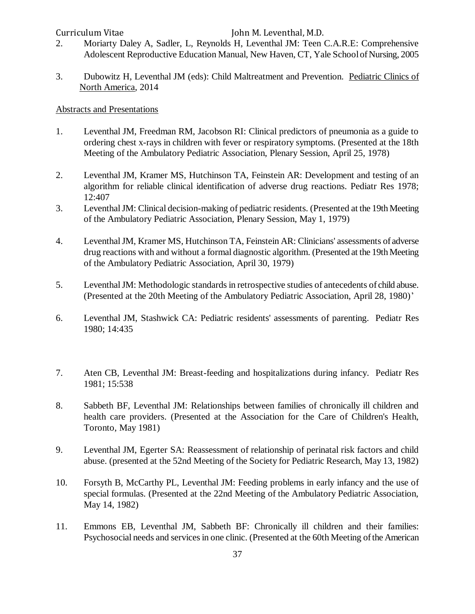- 2. Moriarty Daley A, Sadler, L, Reynolds H, Leventhal JM: Teen C.A.R.E: Comprehensive Adolescent Reproductive Education Manual, New Haven, CT, Yale School of Nursing, 2005
- 3. Dubowitz H, Leventhal JM (eds): Child Maltreatment and Prevention. Pediatric Clinics of North America, 2014

#### Abstracts and Presentations

- 1. Leventhal JM, Freedman RM, Jacobson RI: Clinical predictors of pneumonia as a guide to ordering chest x-rays in children with fever or respiratory symptoms. (Presented at the 18th Meeting of the Ambulatory Pediatric Association, Plenary Session, April 25, 1978)
- 2. Leventhal JM, Kramer MS, Hutchinson TA, Feinstein AR: Development and testing of an algorithm for reliable clinical identification of adverse drug reactions. Pediatr Res 1978; 12:407
- 3. Leventhal JM: Clinical decision-making of pediatric residents. (Presented at the 19th Meeting of the Ambulatory Pediatric Association, Plenary Session, May 1, 1979)
- 4. Leventhal JM, Kramer MS, Hutchinson TA, Feinstein AR: Clinicians' assessments of adverse drug reactions with and without a formal diagnostic algorithm. (Presented at the 19th Meeting of the Ambulatory Pediatric Association, April 30, 1979)
- 5. Leventhal JM: Methodologic standards in retrospective studies of antecedents of child abuse. (Presented at the 20th Meeting of the Ambulatory Pediatric Association, April 28, 1980)'
- 6. Leventhal JM, Stashwick CA: Pediatric residents' assessments of parenting. Pediatr Res 1980; 14:435
- 7. Aten CB, Leventhal JM: Breast-feeding and hospitalizations during infancy. Pediatr Res 1981; 15:538
- 8. Sabbeth BF, Leventhal JM: Relationships between families of chronically ill children and health care providers. (Presented at the Association for the Care of Children's Health, Toronto, May 1981)
- 9. Leventhal JM, Egerter SA: Reassessment of relationship of perinatal risk factors and child abuse. (presented at the 52nd Meeting of the Society for Pediatric Research, May 13, 1982)
- 10. Forsyth B, McCarthy PL, Leventhal JM: Feeding problems in early infancy and the use of special formulas. (Presented at the 22nd Meeting of the Ambulatory Pediatric Association, May 14, 1982)
- 11. Emmons EB, Leventhal JM, Sabbeth BF: Chronically ill children and their families: Psychosocial needs and services in one clinic. (Presented at the 60th Meeting of the American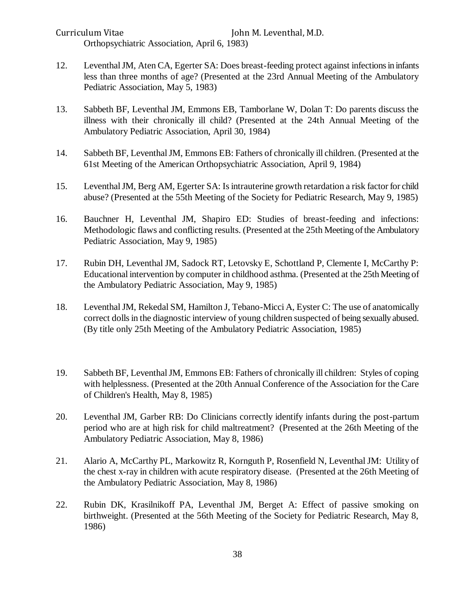Curriculum Vitae John M. Leventhal, M.D. Orthopsychiatric Association, April 6, 1983)

- 12. Leventhal JM, Aten CA, Egerter SA: Does breast-feeding protect against infections in infants less than three months of age? (Presented at the 23rd Annual Meeting of the Ambulatory Pediatric Association, May 5, 1983)
- 13. Sabbeth BF, Leventhal JM, Emmons EB, Tamborlane W, Dolan T: Do parents discuss the illness with their chronically ill child? (Presented at the 24th Annual Meeting of the Ambulatory Pediatric Association, April 30, 1984)
- 14. Sabbeth BF, Leventhal JM, Emmons EB: Fathers of chronically ill children. (Presented at the 61st Meeting of the American Orthopsychiatric Association, April 9, 1984)
- 15. Leventhal JM, Berg AM, Egerter SA: Is intrauterine growth retardation a risk factor for child abuse? (Presented at the 55th Meeting of the Society for Pediatric Research, May 9, 1985)
- 16. Bauchner H, Leventhal JM, Shapiro ED: Studies of breast-feeding and infections: Methodologic flaws and conflicting results. (Presented at the 25th Meeting of the Ambulatory Pediatric Association, May 9, 1985)
- 17. Rubin DH, Leventhal JM, Sadock RT, Letovsky E, Schottland P, Clemente I, McCarthy P: Educational intervention by computer in childhood asthma. (Presented at the 25th Meeting of the Ambulatory Pediatric Association, May 9, 1985)
- 18. Leventhal JM, Rekedal SM, Hamilton J, Tebano-Micci A, Eyster C: The use of anatomically correct dolls in the diagnostic interview of young children suspected of being sexually abused. (By title only 25th Meeting of the Ambulatory Pediatric Association, 1985)
- 19. Sabbeth BF, Leventhal JM, Emmons EB: Fathers of chronically ill children: Styles of coping with helplessness. (Presented at the 20th Annual Conference of the Association for the Care of Children's Health, May 8, 1985)
- 20. Leventhal JM, Garber RB: Do Clinicians correctly identify infants during the post-partum period who are at high risk for child maltreatment? (Presented at the 26th Meeting of the Ambulatory Pediatric Association, May 8, 1986)
- 21. Alario A, McCarthy PL, Markowitz R, Kornguth P, Rosenfield N, Leventhal JM: Utility of the chest x-ray in children with acute respiratory disease. (Presented at the 26th Meeting of the Ambulatory Pediatric Association, May 8, 1986)
- 22. Rubin DK, Krasilnikoff PA, Leventhal JM, Berget A: Effect of passive smoking on birthweight. (Presented at the 56th Meeting of the Society for Pediatric Research, May 8, 1986)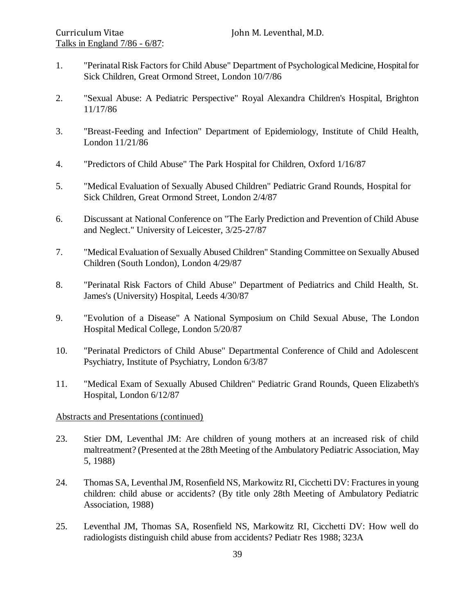- 1. "Perinatal Risk Factors for Child Abuse" Department of Psychological Medicine, Hospital for Sick Children, Great Ormond Street, London 10/7/86
- 2. "Sexual Abuse: A Pediatric Perspective" Royal Alexandra Children's Hospital, Brighton 11/17/86
- 3. "Breast-Feeding and Infection" Department of Epidemiology, Institute of Child Health, London 11/21/86
- 4. "Predictors of Child Abuse" The Park Hospital for Children, Oxford 1/16/87
- 5. "Medical Evaluation of Sexually Abused Children" Pediatric Grand Rounds, Hospital for Sick Children, Great Ormond Street, London 2/4/87
- 6. Discussant at National Conference on "The Early Prediction and Prevention of Child Abuse and Neglect." University of Leicester, 3/25-27/87
- 7. "Medical Evaluation of Sexually Abused Children" Standing Committee on Sexually Abused Children (South London), London 4/29/87
- 8. "Perinatal Risk Factors of Child Abuse" Department of Pediatrics and Child Health, St. James's (University) Hospital, Leeds 4/30/87
- 9. "Evolution of a Disease" A National Symposium on Child Sexual Abuse, The London Hospital Medical College, London 5/20/87
- 10. "Perinatal Predictors of Child Abuse" Departmental Conference of Child and Adolescent Psychiatry, Institute of Psychiatry, London 6/3/87
- 11. "Medical Exam of Sexually Abused Children" Pediatric Grand Rounds, Queen Elizabeth's Hospital, London 6/12/87

### Abstracts and Presentations (continued)

- 23. Stier DM, Leventhal JM: Are children of young mothers at an increased risk of child maltreatment? (Presented at the 28th Meeting of the Ambulatory Pediatric Association, May 5, 1988)
- 24. Thomas SA, Leventhal JM, Rosenfield NS, Markowitz RI, Cicchetti DV: Fractures in young children: child abuse or accidents? (By title only 28th Meeting of Ambulatory Pediatric Association, 1988)
- 25. Leventhal JM, Thomas SA, Rosenfield NS, Markowitz RI, Cicchetti DV: How well do radiologists distinguish child abuse from accidents? Pediatr Res 1988; 323A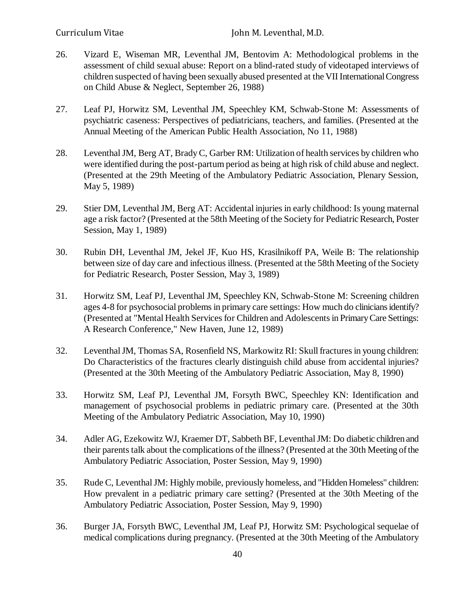- 26. Vizard E, Wiseman MR, Leventhal JM, Bentovim A: Methodological problems in the assessment of child sexual abuse: Report on a blind-rated study of videotaped interviews of children suspected of having been sexually abused presented at the VII International Congress on Child Abuse & Neglect, September 26, 1988)
- 27. Leaf PJ, Horwitz SM, Leventhal JM, Speechley KM, Schwab-Stone M: Assessments of psychiatric caseness: Perspectives of pediatricians, teachers, and families. (Presented at the Annual Meeting of the American Public Health Association, No 11, 1988)
- 28. Leventhal JM, Berg AT, Brady C, Garber RM: Utilization of health services by children who were identified during the post-partum period as being at high risk of child abuse and neglect. (Presented at the 29th Meeting of the Ambulatory Pediatric Association, Plenary Session, May 5, 1989)
- 29. Stier DM, Leventhal JM, Berg AT: Accidental injuries in early childhood: Is young maternal age a risk factor? (Presented at the 58th Meeting of the Society for Pediatric Research, Poster Session, May 1, 1989)
- 30. Rubin DH, Leventhal JM, Jekel JF, Kuo HS, Krasilnikoff PA, Weile B: The relationship between size of day care and infectious illness. (Presented at the 58th Meeting of the Society for Pediatric Research, Poster Session, May 3, 1989)
- 31. Horwitz SM, Leaf PJ, Leventhal JM, Speechley KN, Schwab-Stone M: Screening children ages 4-8 for psychosocial problems in primary care settings: How much do clinicians identify? (Presented at "Mental Health Services for Children and Adolescents in Primary Care Settings: A Research Conference," New Haven, June 12, 1989)
- 32. Leventhal JM, Thomas SA, Rosenfield NS, Markowitz RI: Skull fractures in young children: Do Characteristics of the fractures clearly distinguish child abuse from accidental injuries? (Presented at the 30th Meeting of the Ambulatory Pediatric Association, May 8, 1990)
- 33. Horwitz SM, Leaf PJ, Leventhal JM, Forsyth BWC, Speechley KN: Identification and management of psychosocial problems in pediatric primary care. (Presented at the 30th Meeting of the Ambulatory Pediatric Association, May 10, 1990)
- 34. Adler AG, Ezekowitz WJ, Kraemer DT, Sabbeth BF, Leventhal JM: Do diabetic children and their parents talk about the complications of the illness? (Presented at the 30th Meeting of the Ambulatory Pediatric Association, Poster Session, May 9, 1990)
- 35. Rude C, Leventhal JM: Highly mobile, previously homeless, and "Hidden Homeless" children: How prevalent in a pediatric primary care setting? (Presented at the 30th Meeting of the Ambulatory Pediatric Association, Poster Session, May 9, 1990)
- 36. Burger JA, Forsyth BWC, Leventhal JM, Leaf PJ, Horwitz SM: Psychological sequelae of medical complications during pregnancy. (Presented at the 30th Meeting of the Ambulatory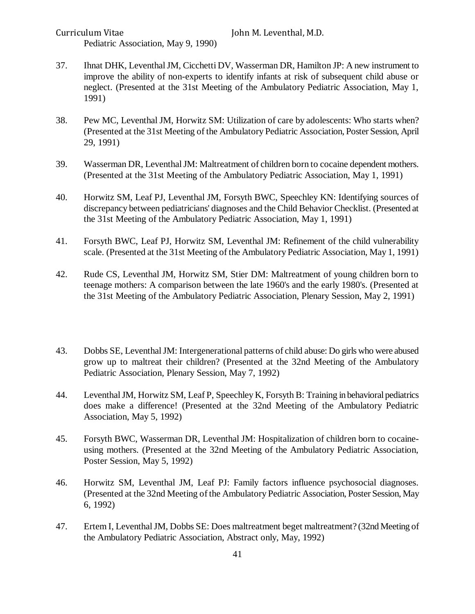Pediatric Association, May 9, 1990)

- 37. Ihnat DHK, Leventhal JM, Cicchetti DV, Wasserman DR, Hamilton JP: A new instrument to improve the ability of non-experts to identify infants at risk of subsequent child abuse or neglect. (Presented at the 31st Meeting of the Ambulatory Pediatric Association, May 1, 1991)
- 38. Pew MC, Leventhal JM, Horwitz SM: Utilization of care by adolescents: Who starts when? (Presented at the 31st Meeting of the Ambulatory Pediatric Association, Poster Session, April 29, 1991)
- 39. Wasserman DR, Leventhal JM: Maltreatment of children born to cocaine dependent mothers. (Presented at the 31st Meeting of the Ambulatory Pediatric Association, May 1, 1991)
- 40. Horwitz SM, Leaf PJ, Leventhal JM, Forsyth BWC, Speechley KN: Identifying sources of discrepancy between pediatricians' diagnoses and the Child Behavior Checklist. (Presented at the 31st Meeting of the Ambulatory Pediatric Association, May 1, 1991)
- 41. Forsyth BWC, Leaf PJ, Horwitz SM, Leventhal JM: Refinement of the child vulnerability scale. (Presented at the 31st Meeting of the Ambulatory Pediatric Association, May 1, 1991)
- 42. Rude CS, Leventhal JM, Horwitz SM, Stier DM: Maltreatment of young children born to teenage mothers: A comparison between the late 1960's and the early 1980's. (Presented at the 31st Meeting of the Ambulatory Pediatric Association, Plenary Session, May 2, 1991)
- 43. Dobbs SE, Leventhal JM: Intergenerational patterns of child abuse: Do girls who were abused grow up to maltreat their children? (Presented at the 32nd Meeting of the Ambulatory Pediatric Association, Plenary Session, May 7, 1992)
- 44. Leventhal JM, Horwitz SM, Leaf P, Speechley K, Forsyth B: Training in behavioral pediatrics does make a difference! (Presented at the 32nd Meeting of the Ambulatory Pediatric Association, May 5, 1992)
- 45. Forsyth BWC, Wasserman DR, Leventhal JM: Hospitalization of children born to cocaineusing mothers. (Presented at the 32nd Meeting of the Ambulatory Pediatric Association, Poster Session, May 5, 1992)
- 46. Horwitz SM, Leventhal JM, Leaf PJ: Family factors influence psychosocial diagnoses. (Presented at the 32nd Meeting of the Ambulatory Pediatric Association, Poster Session, May 6, 1992)
- 47. Ertem I, Leventhal JM, Dobbs SE: Does maltreatment beget maltreatment? (32nd Meeting of the Ambulatory Pediatric Association, Abstract only, May, 1992)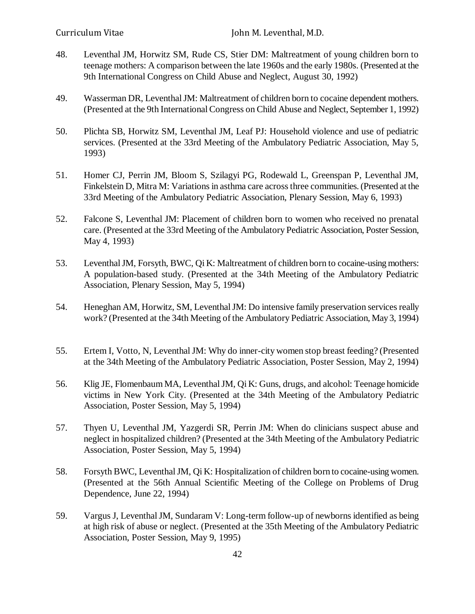- 48. Leventhal JM, Horwitz SM, Rude CS, Stier DM: Maltreatment of young children born to teenage mothers: A comparison between the late 1960s and the early 1980s. (Presented at the 9th International Congress on Child Abuse and Neglect, August 30, 1992)
- 49. Wasserman DR, Leventhal JM: Maltreatment of children born to cocaine dependent mothers. (Presented at the 9th International Congress on Child Abuse and Neglect, September 1, 1992)
- 50. Plichta SB, Horwitz SM, Leventhal JM, Leaf PJ: Household violence and use of pediatric services. (Presented at the 33rd Meeting of the Ambulatory Pediatric Association, May 5, 1993)
- 51. Homer CJ, Perrin JM, Bloom S, Szilagyi PG, Rodewald L, Greenspan P, Leventhal JM, Finkelstein D, Mitra M: Variations in asthma care across three communities. (Presented at the 33rd Meeting of the Ambulatory Pediatric Association, Plenary Session, May 6, 1993)
- 52. Falcone S, Leventhal JM: Placement of children born to women who received no prenatal care. (Presented at the 33rd Meeting of the Ambulatory Pediatric Association, Poster Session, May 4, 1993)
- 53. Leventhal JM, Forsyth, BWC, Qi K: Maltreatment of children born to cocaine-using mothers: A population-based study. (Presented at the 34th Meeting of the Ambulatory Pediatric Association, Plenary Session, May 5, 1994)
- 54. Heneghan AM, Horwitz, SM, Leventhal JM: Do intensive family preservation services really work? (Presented at the 34th Meeting of the Ambulatory Pediatric Association, May 3, 1994)
- 55. Ertem I, Votto, N, Leventhal JM: Why do inner-city women stop breast feeding? (Presented at the 34th Meeting of the Ambulatory Pediatric Association, Poster Session, May 2, 1994)
- 56. Klig JE, Flomenbaum MA, Leventhal JM, Qi K: Guns, drugs, and alcohol: Teenage homicide victims in New York City. (Presented at the 34th Meeting of the Ambulatory Pediatric Association, Poster Session, May 5, 1994)
- 57. Thyen U, Leventhal JM, Yazgerdi SR, Perrin JM: When do clinicians suspect abuse and neglect in hospitalized children? (Presented at the 34th Meeting of the Ambulatory Pediatric Association, Poster Session, May 5, 1994)
- 58. Forsyth BWC, Leventhal JM, Qi K: Hospitalization of children born to cocaine-using women. (Presented at the 56th Annual Scientific Meeting of the College on Problems of Drug Dependence, June 22, 1994)
- 59. Vargus J, Leventhal JM, Sundaram V: Long-term follow-up of newborns identified as being at high risk of abuse or neglect. (Presented at the 35th Meeting of the Ambulatory Pediatric Association, Poster Session, May 9, 1995)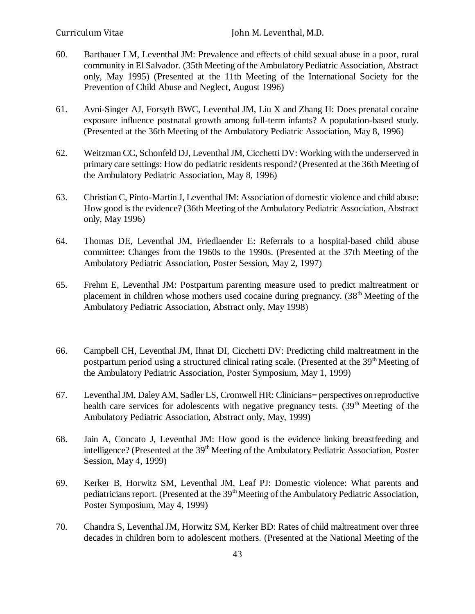- 60. Barthauer LM, Leventhal JM: Prevalence and effects of child sexual abuse in a poor, rural community in El Salvador. (35th Meeting of the Ambulatory Pediatric Association, Abstract only, May 1995) (Presented at the 11th Meeting of the International Society for the Prevention of Child Abuse and Neglect, August 1996)
- 61. Avni-Singer AJ, Forsyth BWC, Leventhal JM, Liu X and Zhang H: Does prenatal cocaine exposure influence postnatal growth among full-term infants? A population-based study. (Presented at the 36th Meeting of the Ambulatory Pediatric Association, May 8, 1996)
- 62. Weitzman CC, Schonfeld DJ, Leventhal JM, Cicchetti DV: Working with the underserved in primary care settings: How do pediatric residents respond? (Presented at the 36th Meeting of the Ambulatory Pediatric Association, May 8, 1996)
- 63. Christian C, Pinto-Martin J, Leventhal JM: Association of domestic violence and child abuse: How good is the evidence? (36th Meeting of the Ambulatory Pediatric Association, Abstract only, May 1996)
- 64. Thomas DE, Leventhal JM, Friedlaender E: Referrals to a hospital-based child abuse committee: Changes from the 1960s to the 1990s. (Presented at the 37th Meeting of the Ambulatory Pediatric Association, Poster Session, May 2, 1997)
- 65. Frehm E, Leventhal JM: Postpartum parenting measure used to predict maltreatment or placement in children whose mothers used cocaine during pregnancy. (38<sup>th</sup> Meeting of the Ambulatory Pediatric Association, Abstract only, May 1998)
- 66. Campbell CH, Leventhal JM, Ihnat DI, Cicchetti DV: Predicting child maltreatment in the postpartum period using a structured clinical rating scale. (Presented at the 39<sup>th</sup> Meeting of the Ambulatory Pediatric Association, Poster Symposium, May 1, 1999)
- 67. Leventhal JM, Daley AM, Sadler LS, Cromwell HR: Clinicians= perspectives on reproductive health care services for adolescents with negative pregnancy tests. (39<sup>th</sup> Meeting of the Ambulatory Pediatric Association, Abstract only, May, 1999)
- 68. Jain A, Concato J, Leventhal JM: How good is the evidence linking breastfeeding and intelligence? (Presented at the 39<sup>th</sup> Meeting of the Ambulatory Pediatric Association, Poster Session, May 4, 1999)
- 69. Kerker B, Horwitz SM, Leventhal JM, Leaf PJ: Domestic violence: What parents and pediatricians report. (Presented at the 39<sup>th</sup> Meeting of the Ambulatory Pediatric Association, Poster Symposium, May 4, 1999)
- 70. Chandra S, Leventhal JM, Horwitz SM, Kerker BD: Rates of child maltreatment over three decades in children born to adolescent mothers. (Presented at the National Meeting of the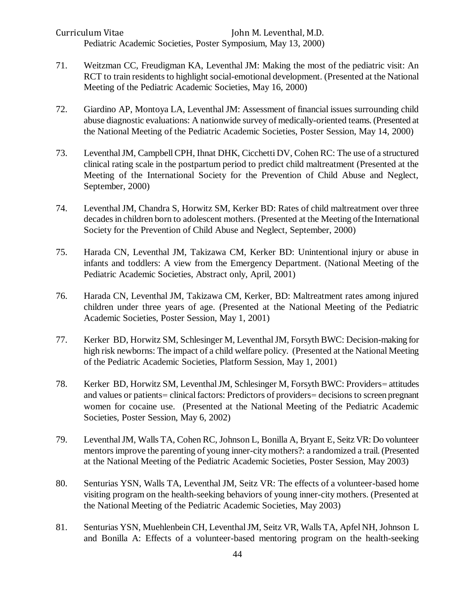Curriculum Vitae John M. Leventhal, M.D. Pediatric Academic Societies, Poster Symposium, May 13, 2000)

- 71. Weitzman CC, Freudigman KA, Leventhal JM: Making the most of the pediatric visit: An RCT to train residents to highlight social-emotional development. (Presented at the National Meeting of the Pediatric Academic Societies, May 16, 2000)
- 72. Giardino AP, Montoya LA, Leventhal JM: Assessment of financial issues surrounding child abuse diagnostic evaluations: A nationwide survey of medically-oriented teams. (Presented at the National Meeting of the Pediatric Academic Societies, Poster Session, May 14, 2000)
- 73. Leventhal JM, Campbell CPH, Ihnat DHK, Cicchetti DV, Cohen RC: The use of a structured clinical rating scale in the postpartum period to predict child maltreatment (Presented at the Meeting of the International Society for the Prevention of Child Abuse and Neglect, September, 2000)
- 74. Leventhal JM, Chandra S, Horwitz SM, Kerker BD: Rates of child maltreatment over three decades in children born to adolescent mothers. (Presented at the Meeting of the International Society for the Prevention of Child Abuse and Neglect, September, 2000)
- 75. Harada CN, Leventhal JM, Takizawa CM, Kerker BD: Unintentional injury or abuse in infants and toddlers: A view from the Emergency Department. (National Meeting of the Pediatric Academic Societies, Abstract only, April, 2001)
- 76. Harada CN, Leventhal JM, Takizawa CM, Kerker, BD: Maltreatment rates among injured children under three years of age. (Presented at the National Meeting of the Pediatric Academic Societies, Poster Session, May 1, 2001)
- 77. Kerker BD, Horwitz SM, Schlesinger M, Leventhal JM, Forsyth BWC: Decision-making for high risk newborns: The impact of a child welfare policy. (Presented at the National Meeting of the Pediatric Academic Societies, Platform Session, May 1, 2001)
- 78. Kerker BD, Horwitz SM, Leventhal JM, Schlesinger M, Forsyth BWC: Providers= attitudes and values or patients= clinical factors: Predictors of providers= decisions to screen pregnant women for cocaine use. (Presented at the National Meeting of the Pediatric Academic Societies, Poster Session, May 6, 2002)
- 79. Leventhal JM, Walls TA, Cohen RC, Johnson L, Bonilla A, Bryant E, Seitz VR: Do volunteer mentors improve the parenting of young inner-city mothers?: a randomized a trail. (Presented at the National Meeting of the Pediatric Academic Societies, Poster Session, May 2003)
- 80. Senturias YSN, Walls TA, Leventhal JM, Seitz VR: The effects of a volunteer-based home visiting program on the health-seeking behaviors of young inner-city mothers. (Presented at the National Meeting of the Pediatric Academic Societies, May 2003)
- 81. Senturias YSN, Muehlenbein CH, Leventhal JM, Seitz VR, Walls TA, Apfel NH, Johnson L and Bonilla A: Effects of a volunteer-based mentoring program on the health-seeking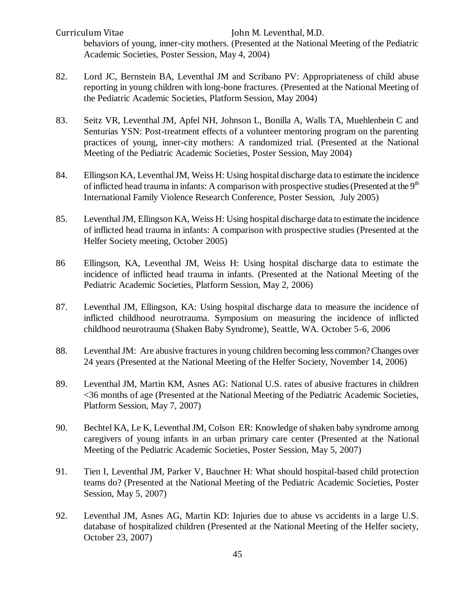Curriculum Vitae John M. Leventhal, M.D. behaviors of young, inner-city mothers. (Presented at the National Meeting of the Pediatric Academic Societies, Poster Session, May 4, 2004)

- 82. Lord JC, Bernstein BA, Leventhal JM and Scribano PV: Appropriateness of child abuse reporting in young children with long-bone fractures. (Presented at the National Meeting of the Pediatric Academic Societies, Platform Session, May 2004)
- 83. Seitz VR, Leventhal JM, Apfel NH, Johnson L, Bonilla A, Walls TA, Muehlenbein C and Senturias YSN: Post-treatment effects of a volunteer mentoring program on the parenting practices of young, inner-city mothers: A randomized trial. (Presented at the National Meeting of the Pediatric Academic Societies, Poster Session, May 2004)
- 84. Ellingson KA, Leventhal JM, Weiss H: Using hospital discharge data to estimate the incidence of inflicted head trauma in infants: A comparison with prospective studies (Presented at the  $9<sup>th</sup>$ International Family Violence Research Conference, Poster Session, July 2005)
- 85. Leventhal JM, Ellingson KA, Weiss H: Using hospital discharge data to estimate the incidence of inflicted head trauma in infants: A comparison with prospective studies (Presented at the Helfer Society meeting, October 2005)
- 86 Ellingson, KA, Leventhal JM, Weiss H: Using hospital discharge data to estimate the incidence of inflicted head trauma in infants. (Presented at the National Meeting of the Pediatric Academic Societies, Platform Session, May 2, 2006)
- 87. Leventhal JM, Ellingson, KA: Using hospital discharge data to measure the incidence of inflicted childhood neurotrauma. Symposium on measuring the incidence of inflicted childhood neurotrauma (Shaken Baby Syndrome), Seattle, WA. October 5-6, 2006
- 88. Leventhal JM: Are abusive fractures in young children becoming less common? Changes over 24 years (Presented at the National Meeting of the Helfer Society, November 14, 2006)
- 89. Leventhal JM, Martin KM, Asnes AG: National U.S. rates of abusive fractures in children <36 months of age (Presented at the National Meeting of the Pediatric Academic Societies, Platform Session, May 7, 2007)
- 90. Bechtel KA, Le K, Leventhal JM, Colson ER: Knowledge of shaken baby syndrome among caregivers of young infants in an urban primary care center (Presented at the National Meeting of the Pediatric Academic Societies, Poster Session, May 5, 2007)
- 91. Tien I, Leventhal JM, Parker V, Bauchner H: What should hospital-based child protection teams do? (Presented at the National Meeting of the Pediatric Academic Societies, Poster Session, May 5, 2007)
- 92. Leventhal JM, Asnes AG, Martin KD: Injuries due to abuse vs accidents in a large U.S. database of hospitalized children (Presented at the National Meeting of the Helfer society, October 23, 2007)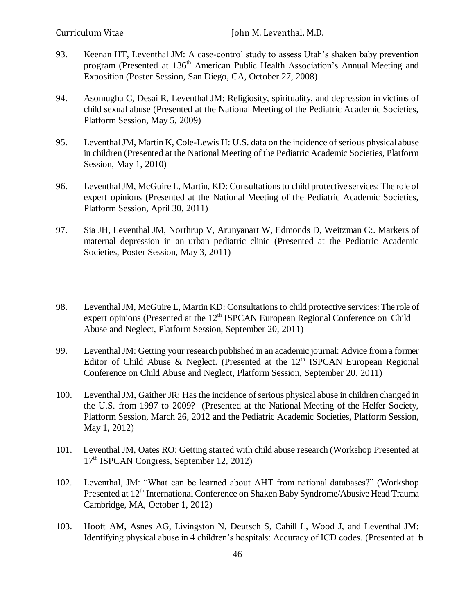- 93. Keenan HT, Leventhal JM: A case-control study to assess Utah's shaken baby prevention program (Presented at 136<sup>th</sup> American Public Health Association's Annual Meeting and Exposition (Poster Session, San Diego, CA, October 27, 2008)
- 94. Asomugha C, Desai R, Leventhal JM: Religiosity, spirituality, and depression in victims of child sexual abuse (Presented at the National Meeting of the Pediatric Academic Societies, Platform Session, May 5, 2009)
- 95. Leventhal JM, Martin K, Cole-Lewis H: U.S. data on the incidence of serious physical abuse in children (Presented at the National Meeting of the Pediatric Academic Societies, Platform Session, May 1, 2010)
- 96. Leventhal JM, McGuire L, Martin, KD: Consultations to child protective services: The role of expert opinions (Presented at the National Meeting of the Pediatric Academic Societies, Platform Session, April 30, 2011)
- 97. Sia JH, Leventhal JM, Northrup V, Arunyanart W, Edmonds D, Weitzman C:. Markers of maternal depression in an urban pediatric clinic (Presented at the Pediatric Academic Societies, Poster Session, May 3, 2011)
- 98. Leventhal JM, McGuire L, Martin KD: Consultations to child protective services: The role of expert opinions (Presented at the  $12<sup>th</sup>$  ISPCAN European Regional Conference on Child Abuse and Neglect, Platform Session, September 20, 2011)
- 99. Leventhal JM: Getting your research published in an academic journal: Advice from a former Editor of Child Abuse & Neglect. (Presented at the  $12<sup>th</sup>$  ISPCAN European Regional Conference on Child Abuse and Neglect, Platform Session, September 20, 2011)
- 100. Leventhal JM, Gaither JR: Has the incidence of serious physical abuse in children changed in the U.S. from 1997 to 2009? (Presented at the National Meeting of the Helfer Society, Platform Session, March 26, 2012 and the Pediatric Academic Societies, Platform Session, May 1, 2012)
- 101. Leventhal JM, Oates RO: Getting started with child abuse research (Workshop Presented at 17th ISPCAN Congress, September 12, 2012)
- 102. Leventhal, JM: "What can be learned about AHT from national databases?" (Workshop Presented at 12<sup>th</sup> International Conference on Shaken Baby Syndrome/Abusive Head Trauma Cambridge, MA, October 1, 2012)
- 103. Hooft AM, Asnes AG, Livingston N, Deutsch S, Cahill L, Wood J, and Leventhal JM: Identifying physical abuse in 4 children's hospitals: Accuracy of ICD codes. (Presented at  $\mathbf b$